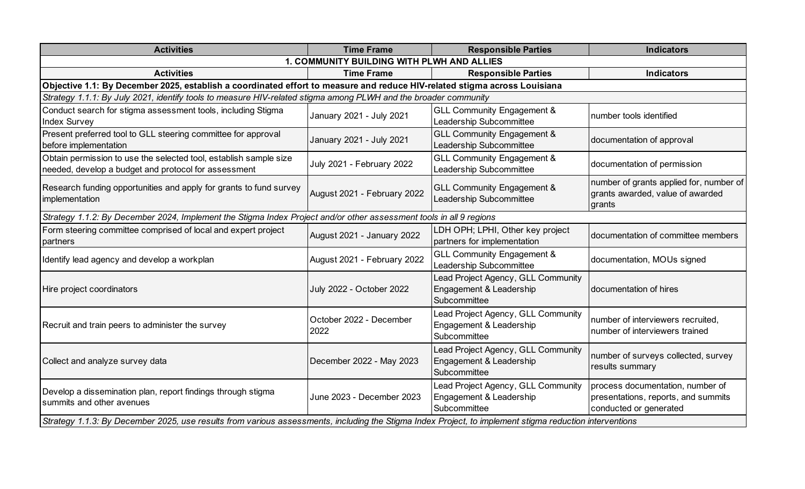| <b>Activities</b>                                                                                                                                       | <b>Time Frame</b>                          | <b>Responsible Parties</b>                                                    | <b>Indicators</b>                                                                                 |
|---------------------------------------------------------------------------------------------------------------------------------------------------------|--------------------------------------------|-------------------------------------------------------------------------------|---------------------------------------------------------------------------------------------------|
|                                                                                                                                                         | 1. COMMUNITY BUILDING WITH PLWH AND ALLIES |                                                                               |                                                                                                   |
| <b>Activities</b>                                                                                                                                       | <b>Time Frame</b>                          | <b>Responsible Parties</b>                                                    | <b>Indicators</b>                                                                                 |
| Objective 1.1: By December 2025, establish a coordinated effort to measure and reduce HIV-related stigma across Louisiana                               |                                            |                                                                               |                                                                                                   |
| Strategy 1.1.1: By July 2021, identify tools to measure HIV-related stigma among PLWH and the broader community                                         |                                            |                                                                               |                                                                                                   |
| Conduct search for stigma assessment tools, including Stigma<br><b>Index Survey</b>                                                                     | January 2021 - July 2021                   | <b>GLL Community Engagement &amp;</b><br>Leadership Subcommittee              | number tools identified                                                                           |
| Present preferred tool to GLL steering committee for approval<br>before implementation                                                                  | January 2021 - July 2021                   | <b>GLL Community Engagement &amp;</b><br>Leadership Subcommittee              | documentation of approval                                                                         |
| Obtain permission to use the selected tool, establish sample size<br>needed, develop a budget and protocol for assessment                               | July 2021 - February 2022                  | <b>GLL Community Engagement &amp;</b><br>Leadership Subcommittee              | documentation of permission                                                                       |
| Research funding opportunities and apply for grants to fund survey<br>implementation                                                                    | August 2021 - February 2022                | <b>GLL Community Engagement &amp;</b><br>Leadership Subcommittee              | number of grants applied for, number of<br>grants awarded, value of awarded<br>grants             |
| Strategy 1.1.2: By December 2024, Implement the Stigma Index Project and/or other assessment tools in all 9 regions                                     |                                            |                                                                               |                                                                                                   |
| Form steering committee comprised of local and expert project<br>partners                                                                               | August 2021 - January 2022                 | LDH OPH; LPHI, Other key project<br>partners for implementation               | documentation of committee members                                                                |
| Identify lead agency and develop a workplan                                                                                                             | August 2021 - February 2022                | <b>GLL Community Engagement &amp;</b><br>Leadership Subcommittee              | documentation, MOUs signed                                                                        |
| Hire project coordinators                                                                                                                               | July 2022 - October 2022                   | Lead Project Agency, GLL Community<br>Engagement & Leadership<br>Subcommittee | documentation of hires                                                                            |
| Recruit and train peers to administer the survey                                                                                                        | October 2022 - December<br>2022            | Lead Project Agency, GLL Community<br>Engagement & Leadership<br>Subcommittee | number of interviewers recruited,<br>number of interviewers trained                               |
| Collect and analyze survey data                                                                                                                         | December 2022 - May 2023                   | Lead Project Agency, GLL Community<br>Engagement & Leadership<br>Subcommittee | number of surveys collected, survey<br>results summary                                            |
| Develop a dissemination plan, report findings through stigma<br>summits and other avenues                                                               | June 2023 - December 2023                  | Lead Project Agency, GLL Community<br>Engagement & Leadership<br>Subcommittee | process documentation, number of<br>presentations, reports, and summits<br>conducted or generated |
| Strategy 1.1.3: By December 2025, use results from various assessments, including the Stigma Index Project, to implement stigma reduction interventions |                                            |                                                                               |                                                                                                   |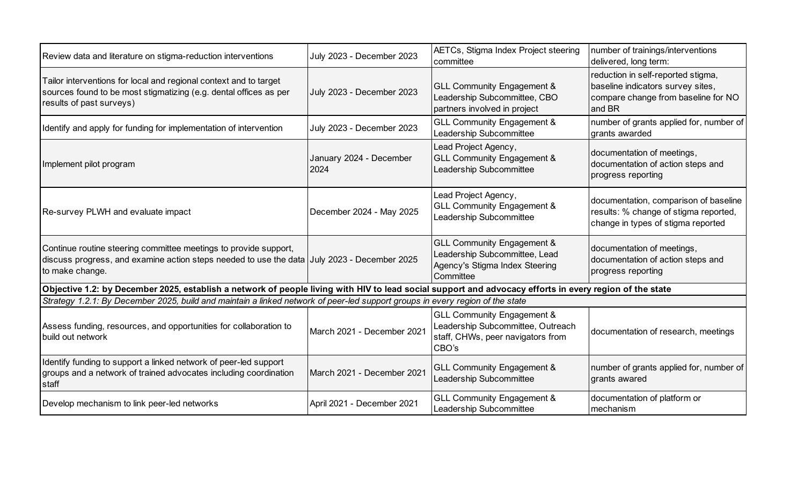| Review data and literature on stigma-reduction interventions                                                                                                                       | July 2023 - December 2023       | AETCs, Stigma Index Project steering<br>committee                                                                        | number of trainings/interventions<br>delivered, long term:                                                               |
|------------------------------------------------------------------------------------------------------------------------------------------------------------------------------------|---------------------------------|--------------------------------------------------------------------------------------------------------------------------|--------------------------------------------------------------------------------------------------------------------------|
| Tailor interventions for local and regional context and to target<br>sources found to be most stigmatizing (e.g. dental offices as per<br>results of past surveys)                 | July 2023 - December 2023       | <b>GLL Community Engagement &amp;</b><br>Leadership Subcommittee, CBO<br>partners involved in project                    | reduction in self-reported stigma,<br>baseline indicators survey sites,<br>compare change from baseline for NO<br>and BR |
| Identify and apply for funding for implementation of intervention                                                                                                                  | July 2023 - December 2023       | <b>GLL Community Engagement &amp;</b><br>Leadership Subcommittee                                                         | number of grants applied for, number of<br>grants awarded                                                                |
| Implement pilot program                                                                                                                                                            | January 2024 - December<br>2024 | Lead Project Agency,<br><b>GLL Community Engagement &amp;</b><br>Leadership Subcommittee                                 | documentation of meetings,<br>documentation of action steps and<br>progress reporting                                    |
| Re-survey PLWH and evaluate impact                                                                                                                                                 | December 2024 - May 2025        | Lead Project Agency,<br><b>GLL Community Engagement &amp;</b><br>Leadership Subcommittee                                 | documentation, comparison of baseline<br>results: % change of stigma reported,<br>change in types of stigma reported     |
| Continue routine steering committee meetings to provide support,<br>discuss progress, and examine action steps needed to use the data July 2023 - December 2025<br>to make change. |                                 | <b>GLL Community Engagement &amp;</b><br>Leadership Subcommittee, Lead<br>Agency's Stigma Index Steering<br>Committee    | documentation of meetings,<br>documentation of action steps and<br>progress reporting                                    |
| Objective 1.2: by December 2025, establish a network of people living with HIV to lead social support and advocacy efforts in every region of the state                            |                                 |                                                                                                                          |                                                                                                                          |
| Strategy 1.2.1: By December 2025, build and maintain a linked network of peer-led support groups in every region of the state                                                      |                                 |                                                                                                                          |                                                                                                                          |
| Assess funding, resources, and opportunities for collaboration to<br>build out network                                                                                             | March 2021 - December 2021      | <b>GLL Community Engagement &amp;</b><br>Leadership Subcommittee, Outreach<br>staff, CHWs, peer navigators from<br>CBO's | documentation of research, meetings                                                                                      |
| Identify funding to support a linked network of peer-led support<br>groups and a network of trained advocates including coordination<br>staff                                      | March 2021 - December 2021      | <b>GLL Community Engagement &amp;</b><br>Leadership Subcommittee                                                         | number of grants applied for, number of<br>grants awared                                                                 |
| Develop mechanism to link peer-led networks                                                                                                                                        | April 2021 - December 2021      | <b>GLL Community Engagement &amp;</b><br>Leadership Subcommittee                                                         | documentation of platform or<br>mechanism                                                                                |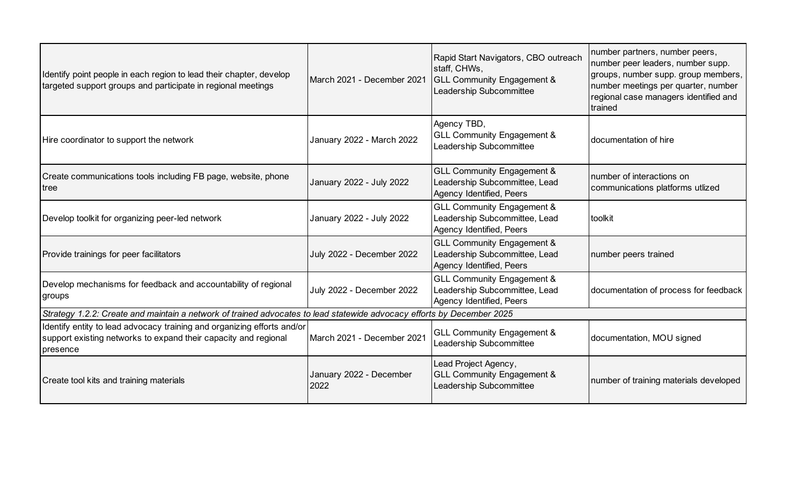| Identify point people in each region to lead their chapter, develop<br>targeted support groups and participate in regional meetings                    | March 2021 - December 2021      | Rapid Start Navigators, CBO outreach<br>staff, CHWs,<br><b>GLL Community Engagement &amp;</b><br>Leadership Subcommittee | number partners, number peers,<br>number peer leaders, number supp.<br>groups, number supp. group members,<br>number meetings per quarter, number<br>regional case managers identified and<br>trained |
|--------------------------------------------------------------------------------------------------------------------------------------------------------|---------------------------------|--------------------------------------------------------------------------------------------------------------------------|-------------------------------------------------------------------------------------------------------------------------------------------------------------------------------------------------------|
| Hire coordinator to support the network                                                                                                                | January 2022 - March 2022       | Agency TBD,<br><b>GLL Community Engagement &amp;</b><br>Leadership Subcommittee                                          | documentation of hire                                                                                                                                                                                 |
| Create communications tools including FB page, website, phone<br>tree                                                                                  | January 2022 - July 2022        | <b>GLL Community Engagement &amp;</b><br>Leadership Subcommittee, Lead<br>Agency Identified, Peers                       | number of interactions on<br>communications platforms utlized                                                                                                                                         |
| Develop toolkit for organizing peer-led network                                                                                                        | January 2022 - July 2022        | <b>GLL Community Engagement &amp;</b><br>Leadership Subcommittee, Lead<br>Agency Identified, Peers                       | toolkit                                                                                                                                                                                               |
| Provide trainings for peer facilitators                                                                                                                | July 2022 - December 2022       | <b>GLL Community Engagement &amp;</b><br>Leadership Subcommittee, Lead<br>Agency Identified, Peers                       | number peers trained                                                                                                                                                                                  |
| Develop mechanisms for feedback and accountability of regional<br>groups                                                                               | July 2022 - December 2022       | <b>GLL Community Engagement &amp;</b><br>Leadership Subcommittee, Lead<br>Agency Identified, Peers                       | documentation of process for feedback                                                                                                                                                                 |
| Strategy 1.2.2: Create and maintain a network of trained advocates to lead statewide advocacy efforts by December 2025                                 |                                 |                                                                                                                          |                                                                                                                                                                                                       |
| Identify entity to lead advocacy training and organizing efforts and/or<br>support existing networks to expand their capacity and regional<br>presence | March 2021 - December 2021      | <b>GLL Community Engagement &amp;</b><br>Leadership Subcommittee                                                         | documentation, MOU signed                                                                                                                                                                             |
| Create tool kits and training materials                                                                                                                | January 2022 - December<br>2022 | Lead Project Agency,<br><b>GLL Community Engagement &amp;</b><br>Leadership Subcommittee                                 | number of training materials developed                                                                                                                                                                |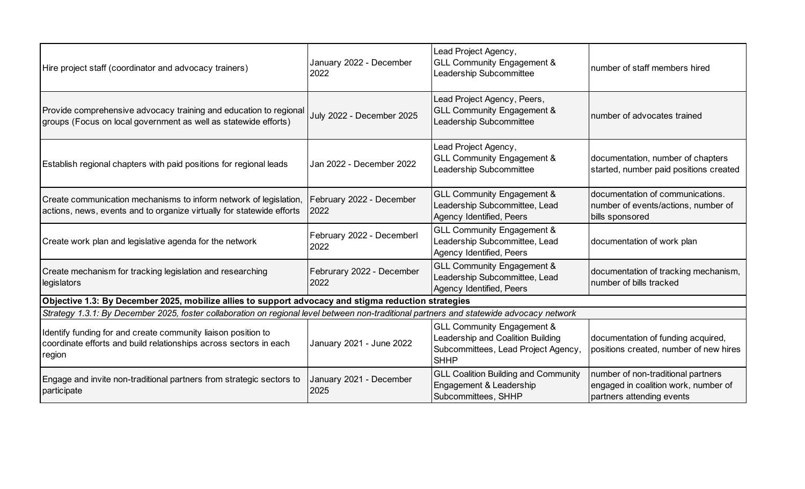| Hire project staff (coordinator and advocacy trainers)                                                                                       | January 2022 - December<br>2022   | Lead Project Agency,<br><b>GLL Community Engagement &amp;</b><br>Leadership Subcommittee                                         | number of staff members hired                                                                           |
|----------------------------------------------------------------------------------------------------------------------------------------------|-----------------------------------|----------------------------------------------------------------------------------------------------------------------------------|---------------------------------------------------------------------------------------------------------|
| Provide comprehensive advocacy training and education to regional<br>groups (Focus on local government as well as statewide efforts)         | July 2022 - December 2025         | Lead Project Agency, Peers,<br><b>GLL Community Engagement &amp;</b><br>Leadership Subcommittee                                  | number of advocates trained                                                                             |
| Establish regional chapters with paid positions for regional leads                                                                           | Jan 2022 - December 2022          | Lead Project Agency,<br><b>GLL Community Engagement &amp;</b><br>Leadership Subcommittee                                         | documentation, number of chapters<br>started, number paid positions created                             |
| Create communication mechanisms to inform network of legislation,<br>actions, news, events and to organize virtually for statewide efforts   | February 2022 - December<br>2022  | <b>GLL Community Engagement &amp;</b><br>Leadership Subcommittee, Lead<br>Agency Identified, Peers                               | documentation of communications.<br>number of events/actions, number of<br>bills sponsored              |
| Create work plan and legislative agenda for the network                                                                                      | February 2022 - Decemberl<br>2022 | <b>GLL Community Engagement &amp;</b><br>Leadership Subcommittee, Lead<br>Agency Identified, Peers                               | documentation of work plan                                                                              |
| Create mechanism for tracking legislation and researching<br>legislators                                                                     | Februrary 2022 - December<br>2022 | <b>GLL Community Engagement &amp;</b><br>Leadership Subcommittee, Lead<br>Agency Identified, Peers                               | documentation of tracking mechanism,<br>number of bills tracked                                         |
| Objective 1.3: By December 2025, mobilize allies to support advocacy and stigma reduction strategies                                         |                                   |                                                                                                                                  |                                                                                                         |
| Strategy 1.3.1: By December 2025, foster collaboration on regional level between non-traditional partners and statewide advocacy network     |                                   |                                                                                                                                  |                                                                                                         |
| Identify funding for and create community liaison position to<br>coordinate efforts and build relationships across sectors in each<br>region | January 2021 - June 2022          | <b>GLL Community Engagement &amp;</b><br>Leadership and Coalition Building<br>Subcommittees, Lead Project Agency,<br><b>SHHP</b> | documentation of funding acquired,<br>positions created, number of new hires                            |
| Engage and invite non-traditional partners from strategic sectors to<br>participate                                                          | January 2021 - December<br>2025   | <b>GLL Coalition Building and Community</b><br>Engagement & Leadership<br>Subcommittees, SHHP                                    | number of non-traditional partners<br>engaged in coalition work, number of<br>partners attending events |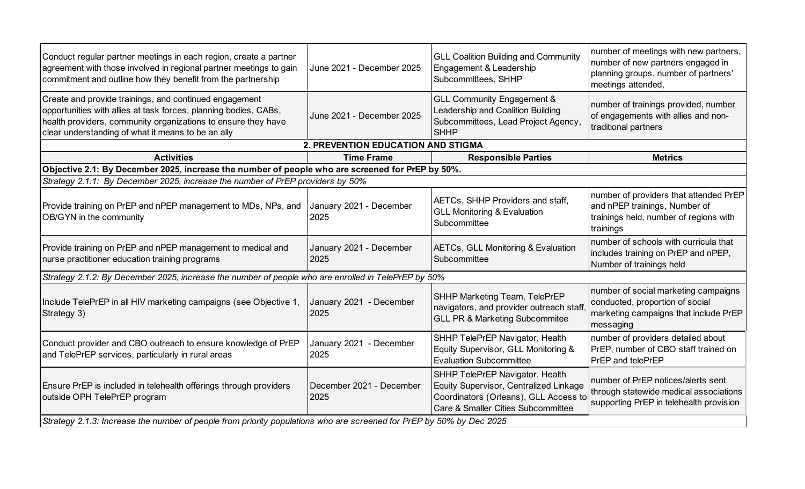| Conduct regular partner meetings in each region, create a partner<br>agreement with those involved in regional partner meetings to gain<br>commitment and outline how they benefit from the partnership                                           | June 2021 - December 2025          | <b>GLL Coalition Building and Community</b><br>Engagement & Leadership<br>Subcommittees, SHHP                                                            | number of meetings with new partners,<br>number of new partners engaged in<br>planning groups, number of partners'<br>meetings attended, |
|---------------------------------------------------------------------------------------------------------------------------------------------------------------------------------------------------------------------------------------------------|------------------------------------|----------------------------------------------------------------------------------------------------------------------------------------------------------|------------------------------------------------------------------------------------------------------------------------------------------|
| Create and provide trainings, and continued engagement<br>opportunities with allies at task forces, planning bodies, CABs,<br>health providers, community organizations to ensure they have<br>clear understanding of what it means to be an ally | June 2021 - December 2025          | <b>GLL Community Engagement &amp;</b><br>Leadership and Coalition Building<br>Subcommittees, Lead Project Agency<br><b>SHHP</b>                          | number of trainings provided, number<br>of engagements with allies and non-<br>traditional partners                                      |
|                                                                                                                                                                                                                                                   | 2. PREVENTION EDUCATION AND STIGMA |                                                                                                                                                          |                                                                                                                                          |
| <b>Activities</b>                                                                                                                                                                                                                                 | <b>Time Frame</b>                  | <b>Responsible Parties</b>                                                                                                                               | <b>Metrics</b>                                                                                                                           |
| Objective 2.1: By December 2025, increase the number of people who are screened for PrEP by 50%.                                                                                                                                                  |                                    |                                                                                                                                                          |                                                                                                                                          |
| Strategy 2.1.1: By December 2025, increase the number of PrEP providers by 50%                                                                                                                                                                    |                                    |                                                                                                                                                          |                                                                                                                                          |
| Provide training on PrEP and nPEP management to MDs, NPs, and<br>OB/GYN in the community                                                                                                                                                          | January 2021 - December<br>2025    | AETCs, SHHP Providers and staff,<br><b>GLL Monitoring &amp; Evaluation</b><br>Subcommittee                                                               | number of providers that attended PrEP<br>and nPEP trainings, Number of<br>trainings held, number of regions with<br>trainings           |
| Provide training on PrEP and nPEP management to medical and<br>nurse practitioner education training programs                                                                                                                                     | January 2021 - December<br>2025    | <b>AETCs, GLL Monitoring &amp; Evaluation</b><br>Subcommittee                                                                                            | number of schools with curricula that<br>includes training on PrEP and nPEP,<br>Number of trainings held                                 |
| Strategy 2.1.2: By December 2025, increase the number of people who are enrolled in TelePrEP by 50%                                                                                                                                               |                                    |                                                                                                                                                          |                                                                                                                                          |
| Include TelePrEP in all HIV marketing campaigns (see Objective 1,<br>Strategy 3)                                                                                                                                                                  | January 2021 - December<br>2025    | SHHP Marketing Team, TelePrEP<br>navigators, and provider outreach staff<br><b>GLL PR &amp; Marketing Subcommitee</b>                                    | number of social marketing campaigns<br>conducted, proportion of social<br>marketing campaigns that include PrEP<br>messaging            |
| Conduct provider and CBO outreach to ensure knowledge of PrEP<br>and TelePrEP services, particularly in rural areas                                                                                                                               | January 2021 - December<br>2025    | SHHP TelePrEP Navigator, Health<br>Equity Supervisor, GLL Monitoring &<br><b>Evaluation Subcommittee</b>                                                 | number of providers detailed about<br>PrEP, number of CBO staff trained on<br>PrEP and telePrEP                                          |
| Ensure PrEP is included in telehealth offerings through providers<br>outside OPH TelePrEP program                                                                                                                                                 | December 2021 - December<br>2025   | SHHP TelePrEP Navigator, Health<br>Equity Supervisor, Centralized Linkage<br>Coordinators (Orleans), GLL Access to<br>Care & Smaller Cities Subcommittee | number of PrEP notices/alerts sent<br>through statewide medical associations<br>supporting PrEP in telehealth provision                  |
| Strategy 2.1.3: Increase the number of people from priority populations who are screened for PrEP by 50% by Dec 2025                                                                                                                              |                                    |                                                                                                                                                          |                                                                                                                                          |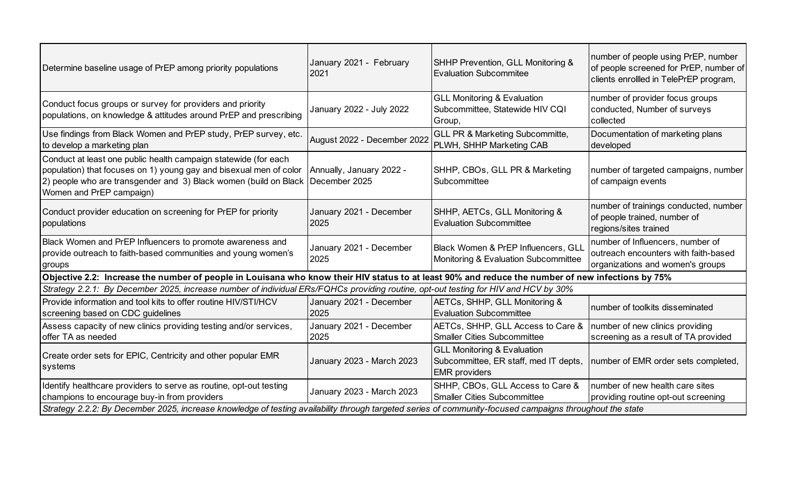| Determine baseline usage of PrEP among priority populations                                                                                                                                                                           | January 2021 - February<br>2021           | SHHP Prevention, GLL Monitoring &<br><b>Evaluation Subcommitee</b>                                      | number of people using PrEP, number<br>of people screened for PrEP, number of<br>clients enrollled in TelePrEP program, |  |
|---------------------------------------------------------------------------------------------------------------------------------------------------------------------------------------------------------------------------------------|-------------------------------------------|---------------------------------------------------------------------------------------------------------|-------------------------------------------------------------------------------------------------------------------------|--|
| Conduct focus groups or survey for providers and priority<br>populations, on knowledge & attitudes around PrEP and prescribing                                                                                                        | January 2022 - July 2022                  | <b>GLL Monitoring &amp; Evaluation</b><br>Subcommittee, Statewide HIV CQI<br>Group,                     | number of provider focus groups<br>conducted, Number of surveys<br>collected                                            |  |
| Use findings from Black Women and PrEP study, PrEP survey, etc.<br>to develop a marketing plan                                                                                                                                        | August 2022 - December 2022               | <b>GLL PR &amp; Marketing Subcommitte,</b><br>PLWH, SHHP Marketing CAB                                  | Documentation of marketing plans<br>developed                                                                           |  |
| Conduct at least one public health campaign statewide (for each<br>population) that focuses on 1) young gay and bisexual men of color<br>2) people who are transgender and 3) Black women (build on Black<br>Women and PrEP campaign) | Annually, January 2022 -<br>December 2025 | SHHP, CBOs, GLL PR & Marketing<br>Subcommittee                                                          | number of targeted campaigns, number<br>of campaign events                                                              |  |
| Conduct provider education on screening for PrEP for priority<br>populations                                                                                                                                                          | January 2021 - December<br>2025           | SHHP, AETCs, GLL Monitoring &<br><b>Evaluation Subcommittee</b>                                         | number of trainings conducted, number<br>of people trained, number of<br>regions/sites trained                          |  |
| Black Women and PrEP Influencers to promote awareness and<br>provide outreach to faith-based communities and young women's<br>groups                                                                                                  | January 2021 - December<br>2025           | Black Women & PrEP Influencers, GLL<br>Monitoring & Evaluation Subcommittee                             | number of Influencers, number of<br>outreach encounters with faith-based<br>organizations and women's groups            |  |
| Objective 2.2: Increase the number of people in Louisana who know their HIV status to at least 90% and reduce the number of new infections by 75%                                                                                     |                                           |                                                                                                         |                                                                                                                         |  |
| Strategy 2.2.1: By December 2025, increase number of individual ERs/FQHCs providing routine, opt-out testing for HIV and HCV by 30%                                                                                                   |                                           |                                                                                                         |                                                                                                                         |  |
| Provide information and tool kits to offer routine HIV/STI/HCV<br>screening based on CDC guidelines                                                                                                                                   | January 2021 - December<br>2025           | AETCs, SHHP, GLL Monitoring &<br><b>Evaluation Subcommittee</b>                                         | number of toolkits disseminated                                                                                         |  |
| Assess capacity of new clinics providing testing and/or services,<br>offer TA as needed                                                                                                                                               | January 2021 - December<br>2025           | AETCs, SHHP, GLL Access to Care &<br><b>Smaller Cities Subcommittee</b>                                 | number of new clinics providing<br>screening as a result of TA provided                                                 |  |
| Create order sets for EPIC, Centricity and other popular EMR<br>systems                                                                                                                                                               | January 2023 - March 2023                 | <b>GLL Monitoring &amp; Evaluation</b><br>Subcommittee, ER staff, med IT depts,<br><b>EMR</b> providers | number of EMR order sets completed,                                                                                     |  |
| Identify healthcare providers to serve as routine, opt-out testing<br>champions to encourage buy-in from providers                                                                                                                    | January 2023 - March 2023                 | SHHP, CBOs, GLL Access to Care &<br><b>Smaller Cities Subcommittee</b>                                  | number of new health care sites<br>providing routine opt-out screening                                                  |  |
| Strategy 2.2.2: By December 2025, increase knowledge of testing availability through targeted series of community-focused campaigns throughout the state                                                                              |                                           |                                                                                                         |                                                                                                                         |  |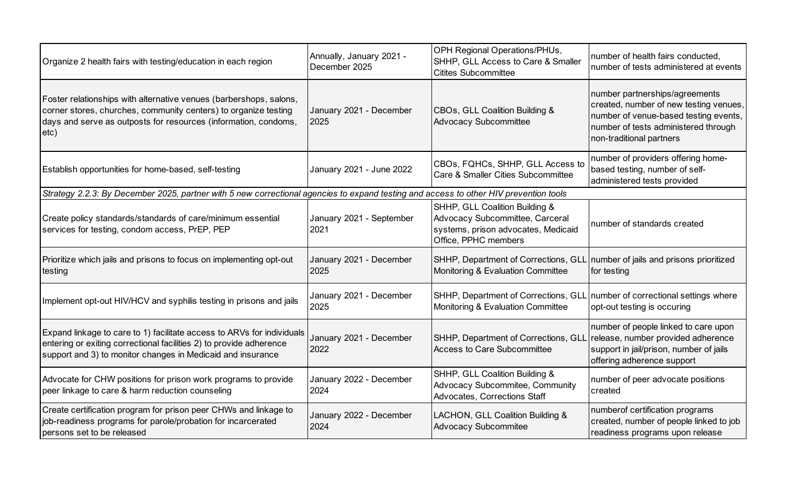| Organize 2 health fairs with testing/education in each region                                                                                                                                                    | Annually, January 2021 -<br>December 2025 | <b>OPH Regional Operations/PHUs,</b><br>SHHP, GLL Access to Care & Smaller<br><b>Citites Subcommittee</b>                        | number of health fairs conducted,<br>number of tests administered at events                                                                                                           |
|------------------------------------------------------------------------------------------------------------------------------------------------------------------------------------------------------------------|-------------------------------------------|----------------------------------------------------------------------------------------------------------------------------------|---------------------------------------------------------------------------------------------------------------------------------------------------------------------------------------|
| Foster relationships with alternative venues (barbershops, salons,<br>corner stores, churches, community centers) to organize testing<br>days and serve as outposts for resources (information, condoms,<br>etc) | January 2021 - December<br>2025           | CBOs, GLL Coalition Building &<br><b>Advocacy Subcommittee</b>                                                                   | number partnerships/agreements<br>created, number of new testing venues,<br>number of venue-based testing events,<br>number of tests administered through<br>non-traditional partners |
| Establish opportunities for home-based, self-testing                                                                                                                                                             | January 2021 - June 2022                  | CBOs, FQHCs, SHHP, GLL Access to<br>Care & Smaller Cities Subcommittee                                                           | number of providers offering home-<br>based testing, number of self-<br>administered tests provided                                                                                   |
| Strategy 2.2.3: By December 2025, partner with 5 new correctional agencies to expand testing and access to other HIV prevention tools                                                                            |                                           |                                                                                                                                  |                                                                                                                                                                                       |
| Create policy standards/standards of care/minimum essential<br>services for testing, condom access, PrEP, PEP                                                                                                    | January 2021 - September<br>2021          | SHHP, GLL Coalition Building &<br>Advocacy Subcommittee, Carceral<br>systems, prison advocates, Medicaid<br>Office, PPHC members | number of standards created                                                                                                                                                           |
| Prioritize which jails and prisons to focus on implementing opt-out<br>testing                                                                                                                                   | January 2021 - December<br>2025           | SHHP, Department of Corrections, GLL number of jails and prisons prioritized<br>Monitoring & Evaluation Committee                | for testing                                                                                                                                                                           |
| Implement opt-out HIV/HCV and syphilis testing in prisons and jails                                                                                                                                              | January 2021 - December<br>2025           | SHHP, Department of Corrections, GLL number of correctional settings where<br>Monitoring & Evaluation Committee                  | opt-out testing is occuring                                                                                                                                                           |
| Expand linkage to care to 1) facilitate access to ARVs for individuals<br>entering or exiting correctional facilities 2) to provide adherence<br>support and 3) to monitor changes in Medicaid and insurance     | January 2021 - December<br>2022           | SHHP, Department of Corrections, GLL<br><b>Access to Care Subcommittee</b>                                                       | number of people linked to care upon<br>release, number provided adherence<br>support in jail/prison, number of jails<br>offering adherence support                                   |
| Advocate for CHW positions for prison work programs to provide<br>peer linkage to care & harm reduction counseling                                                                                               | January 2022 - December<br>2024           | SHHP, GLL Coalition Building &<br>Advocacy Subcommitee, Community<br>Advocates, Corrections Staff                                | number of peer advocate positions<br>created                                                                                                                                          |
| Create certification program for prison peer CHWs and linkage to<br>job-readiness programs for parole/probation for incarcerated<br>persons set to be released                                                   | January 2022 - December<br>2024           | LACHON, GLL Coalition Building &<br><b>Advocacy Subcommitee</b>                                                                  | numberof certification programs<br>created, number of people linked to job<br>readiness programs upon release                                                                         |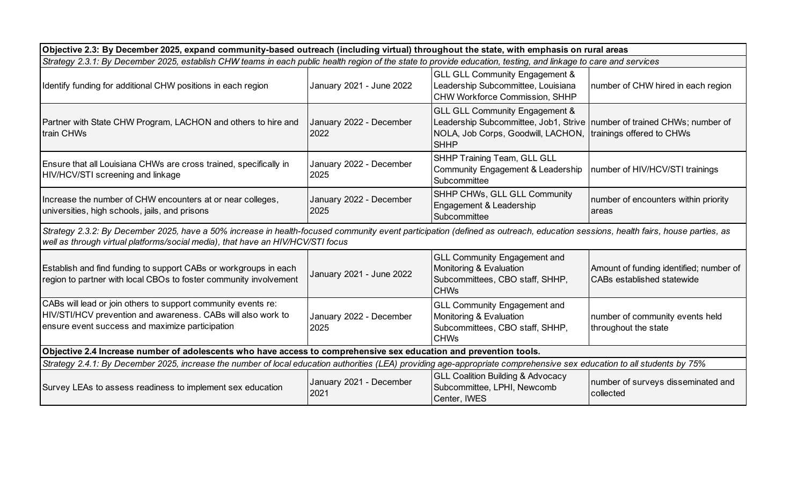|                                                                                                                                                                                                                                                                    | Objective 2.3: By December 2025, expand community-based outreach (including virtual) throughout the state, with emphasis on rural areas |                                                                                                                                                                                                        |                                                                       |  |
|--------------------------------------------------------------------------------------------------------------------------------------------------------------------------------------------------------------------------------------------------------------------|-----------------------------------------------------------------------------------------------------------------------------------------|--------------------------------------------------------------------------------------------------------------------------------------------------------------------------------------------------------|-----------------------------------------------------------------------|--|
| Strategy 2.3.1: By December 2025, establish CHW teams in each public health region of the state to provide education, testing, and linkage to care and services                                                                                                    |                                                                                                                                         |                                                                                                                                                                                                        |                                                                       |  |
| Identify funding for additional CHW positions in each region                                                                                                                                                                                                       | January 2021 - June 2022                                                                                                                | <b>GLL GLL Community Engagement &amp;</b><br>Leadership Subcommittee, Louisiana<br><b>CHW Workforce Commission, SHHP</b>                                                                               | number of CHW hired in each region                                    |  |
| Partner with State CHW Program, LACHON and others to hire and<br>train CHWs                                                                                                                                                                                        | January 2022 - December<br>2022                                                                                                         | <b>GLL GLL Community Engagement &amp;</b><br>Leadership Subcommittee, Job1, Strive   number of trained CHWs; number of<br>NOLA, Job Corps, Goodwill, LACHON, Itrainings offered to CHWs<br><b>SHHP</b> |                                                                       |  |
| Ensure that all Louisiana CHWs are cross trained, specifically in<br>HIV/HCV/STI screening and linkage                                                                                                                                                             | January 2022 - December<br>2025                                                                                                         | SHHP Training Team, GLL GLL<br>Community Engagement & Leadership<br>Subcommittee                                                                                                                       | number of HIV/HCV/STI trainings                                       |  |
| Increase the number of CHW encounters at or near colleges,<br>universities, high schools, jails, and prisons                                                                                                                                                       | January 2022 - December<br>2025                                                                                                         | SHHP CHWs, GLL GLL Community<br>Engagement & Leadership<br>Subcommittee                                                                                                                                | number of encounters within priority<br>areas                         |  |
| Strategy 2.3.2: By December 2025, have a 50% increase in health-focused community event participation (defined as outreach, education sessions, health fairs, house parties, as<br>well as through virtual platforms/social media), that have an HIV/HCV/STI focus |                                                                                                                                         |                                                                                                                                                                                                        |                                                                       |  |
| Establish and find funding to support CABs or workgroups in each<br>region to partner with local CBOs to foster community involvement                                                                                                                              | January 2021 - June 2022                                                                                                                | <b>GLL Community Engagement and</b><br>Monitoring & Evaluation<br>Subcommittees, CBO staff, SHHP,<br><b>CHWs</b>                                                                                       | Amount of funding identified; number of<br>CABs established statewide |  |
| CABs will lead or join others to support community events re:<br>HIV/STI/HCV prevention and awareness. CABs will also work to<br>ensure event success and maximize participation                                                                                   | January 2022 - December<br>2025                                                                                                         | <b>GLL Community Engagement and</b><br>Monitoring & Evaluation<br>Subcommittees, CBO staff, SHHP,<br><b>CHWs</b>                                                                                       | number of community events held<br>throughout the state               |  |
| Objective 2.4 Increase number of adolescents who have access to comprehensive sex education and prevention tools.                                                                                                                                                  |                                                                                                                                         |                                                                                                                                                                                                        |                                                                       |  |
| Strategy 2.4.1: By December 2025, increase the number of local education authorities (LEA) providing age-appropriate comprehensive sex education to all students by 75%                                                                                            |                                                                                                                                         |                                                                                                                                                                                                        |                                                                       |  |
| Survey LEAs to assess readiness to implement sex education                                                                                                                                                                                                         | January 2021 - December<br>2021                                                                                                         | <b>GLL Coalition Building &amp; Advocacy</b><br>Subcommittee, LPHI, Newcomb<br>Center, IWES                                                                                                            | number of surveys disseminated and<br>collected                       |  |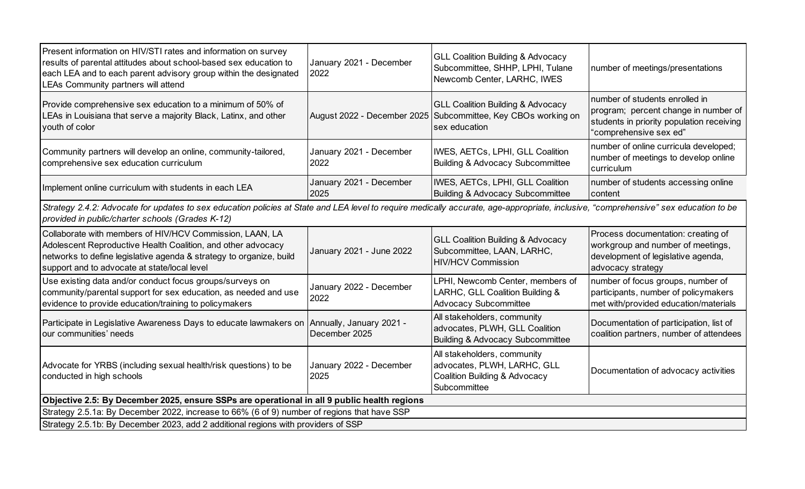| Present information on HIV/STI rates and information on survey<br>results of parental attitudes about school-based sex education to<br>each LEA and to each parent advisory group within the designated<br>LEAs Community partners will attend  | January 2021 - December<br>2022 | <b>GLL Coalition Building &amp; Advocacy</b><br>Subcommittee, SHHP, LPHI, Tulane<br>Newcomb Center, LARHC, IWES                | number of meetings/presentations                                                                                                              |
|-------------------------------------------------------------------------------------------------------------------------------------------------------------------------------------------------------------------------------------------------|---------------------------------|--------------------------------------------------------------------------------------------------------------------------------|-----------------------------------------------------------------------------------------------------------------------------------------------|
| Provide comprehensive sex education to a minimum of 50% of<br>LEAs in Louisiana that serve a majority Black, Latinx, and other<br>youth of color                                                                                                |                                 | <b>GLL Coalition Building &amp; Advocacy</b><br>August 2022 - December 2025 Subcommittee, Key CBOs working on<br>sex education | number of students enrolled in<br>program; percent change in number of<br>students in priority population receiving<br>"comprehensive sex ed" |
| Community partners will develop an online, community-tailored,<br>comprehensive sex education curriculum                                                                                                                                        | January 2021 - December<br>2022 | IWES, AETCs, LPHI, GLL Coalition<br><b>Building &amp; Advocacy Subcommittee</b>                                                | number of online curricula developed;<br>number of meetings to develop online<br>curriculum                                                   |
| Implement online curriculum with students in each LEA                                                                                                                                                                                           | January 2021 - December<br>2025 | IWES, AETCs, LPHI, GLL Coalition<br>Building & Advocacy Subcommittee                                                           | number of students accessing online<br>content                                                                                                |
| Strategy 2.4.2: Advocate for updates to sex education policies at State and LEA level to require medically accurate, age-appropriate, inclusive, "comprehensive" sex education to be<br>provided in public/charter schools (Grades K-12)        |                                 |                                                                                                                                |                                                                                                                                               |
| Collaborate with members of HIV/HCV Commission, LAAN, LA<br>Adolescent Reproductive Health Coalition, and other advocacy<br>networks to define legislative agenda & strategy to organize, build<br>support and to advocate at state/local level | January 2021 - June 2022        | <b>GLL Coalition Building &amp; Advocacy</b><br>Subcommittee, LAAN, LARHC,<br><b>HIV/HCV Commission</b>                        | Process documentation: creating of<br>workgroup and number of meetings,<br>development of legislative agenda,<br>advocacy strategy            |
| Use existing data and/or conduct focus groups/surveys on<br>community/parental support for sex education, as needed and use<br>evidence to provide education/training to policymakers                                                           | January 2022 - December<br>2022 | LPHI, Newcomb Center, members of<br>LARHC, GLL Coalition Building &<br><b>Advocacy Subcommittee</b>                            | number of focus groups, number of<br>participants, number of policymakers<br>met with/provided education/materials                            |
| Participate in Legislative Awareness Days to educate lawmakers on Annually, January 2021 -<br>our communities' needs                                                                                                                            | December 2025                   | All stakeholders, community<br>advocates, PLWH, GLL Coalition<br><b>Building &amp; Advocacy Subcommittee</b>                   | Documentation of participation, list of<br>coalition partners, number of attendees                                                            |
| Advocate for YRBS (including sexual health/risk questions) to be<br>conducted in high schools                                                                                                                                                   | January 2022 - December<br>2025 | All stakeholders, community<br>advocates, PLWH, LARHC, GLL<br>Coalition Building & Advocacy<br>Subcommittee                    | Documentation of advocacy activities                                                                                                          |
| Objective 2.5: By December 2025, ensure SSPs are operational in all 9 public health regions                                                                                                                                                     |                                 |                                                                                                                                |                                                                                                                                               |
| Strategy 2.5.1a: By December 2022, increase to 66% (6 of 9) number of regions that have SSP                                                                                                                                                     |                                 |                                                                                                                                |                                                                                                                                               |
| Strategy 2.5.1b: By December 2023, add 2 additional regions with providers of SSP                                                                                                                                                               |                                 |                                                                                                                                |                                                                                                                                               |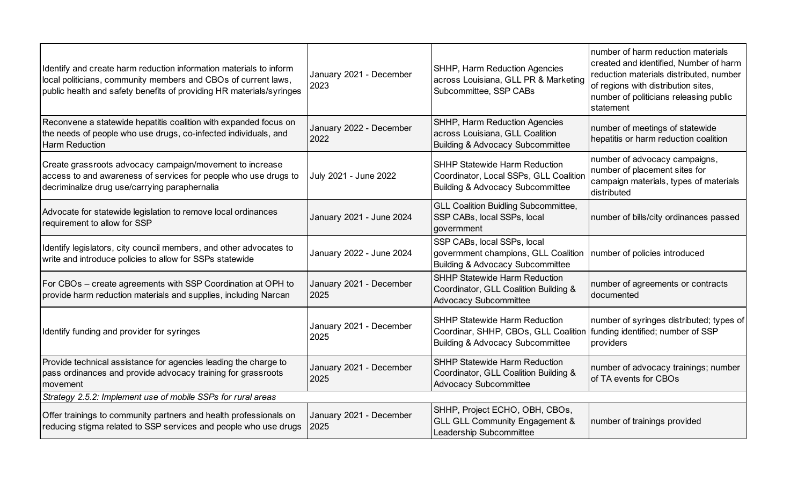| Identify and create harm reduction information materials to inform<br>local politicians, community members and CBOs of current laws,<br>public health and safety benefits of providing HR materials/syringes | January 2021 - December<br>2023 | SHHP, Harm Reduction Agencies<br>across Louisiana, GLL PR & Marketing<br>Subcommittee, SSP CABs                               | number of harm reduction materials<br>created and identified, Number of harm<br>reduction materials distributed, number<br>of regions with distribution sites,<br>number of politicians releasing public<br>statement |
|--------------------------------------------------------------------------------------------------------------------------------------------------------------------------------------------------------------|---------------------------------|-------------------------------------------------------------------------------------------------------------------------------|-----------------------------------------------------------------------------------------------------------------------------------------------------------------------------------------------------------------------|
| Reconvene a statewide hepatitis coalition with expanded focus on<br>the needs of people who use drugs, co-infected individuals, and<br><b>Harm Reduction</b>                                                 | January 2022 - December<br>2022 | SHHP, Harm Reduction Agencies<br>across Louisiana, GLL Coalition<br><b>Building &amp; Advocacy Subcommittee</b>               | number of meetings of statewide<br>hepatitis or harm reduction coalition                                                                                                                                              |
| Create grassroots advocacy campaign/movement to increase<br>access to and awareness of services for people who use drugs to<br>decriminalize drug use/carrying paraphernalia                                 | July 2021 - June 2022           | <b>SHHP Statewide Harm Reduction</b><br>Coordinator, Local SSPs, GLL Coalition<br><b>Building &amp; Advocacy Subcommittee</b> | number of advocacy campaigns,<br>number of placement sites for<br>campaign materials, types of materials<br>distributed                                                                                               |
| Advocate for statewide legislation to remove local ordinances<br>requirement to allow for SSP                                                                                                                | January 2021 - June 2024        | <b>GLL Coalition Buidling Subcommittee,</b><br>SSP CABs, local SSPs, local<br>govermment                                      | number of bills/city ordinances passed                                                                                                                                                                                |
| Identify legislators, city council members, and other advocates to<br>write and introduce policies to allow for SSPs statewide                                                                               | January 2022 - June 2024        | SSP CABs, local SSPs, local<br>government champions, GLL Coalition<br><b>Building &amp; Advocacy Subcommittee</b>             | number of policies introduced                                                                                                                                                                                         |
| For CBOs - create agreements with SSP Coordination at OPH to<br>provide harm reduction materials and supplies, including Narcan                                                                              | January 2021 - December<br>2025 | <b>SHHP Statewide Harm Reduction</b><br>Coordinator, GLL Coalition Building &<br><b>Advocacy Subcommittee</b>                 | number of agreements or contracts<br>documented                                                                                                                                                                       |
| Identify funding and provider for syringes                                                                                                                                                                   | January 2021 - December<br>2025 | <b>SHHP Statewide Harm Reduction</b><br>Coordinar, SHHP, CBOs, GLL Coalition<br><b>Building &amp; Advocacy Subcommittee</b>   | number of syringes distributed; types of<br>funding identified; number of SSP<br>providers                                                                                                                            |
| Provide technical assistance for agencies leading the charge to<br>pass ordinances and provide advocacy training for grassroots<br>movement                                                                  | January 2021 - December<br>2025 | <b>SHHP Statewide Harm Reduction</b><br>Coordinator, GLL Coalition Building &<br><b>Advocacy Subcommittee</b>                 | number of advocacy trainings; number<br>of TA events for CBOs                                                                                                                                                         |
| Strategy 2.5.2: Implement use of mobile SSPs for rural areas                                                                                                                                                 |                                 |                                                                                                                               |                                                                                                                                                                                                                       |
| Offer trainings to community partners and health professionals on<br>reducing stigma related to SSP services and people who use drugs                                                                        | January 2021 - December<br>2025 | SHHP, Project ECHO, OBH, CBOs,<br><b>GLL GLL Community Engagement &amp;</b><br>Leadership Subcommittee                        | number of trainings provided                                                                                                                                                                                          |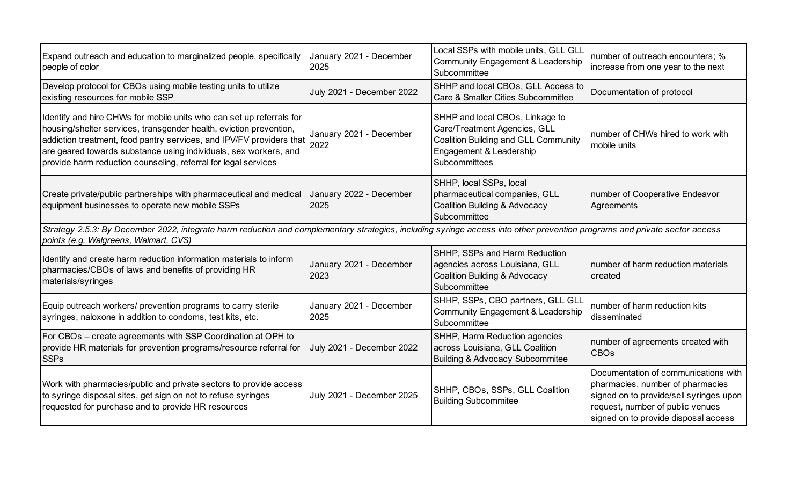| Expand outreach and education to marginalized people, specifically<br>people of color                                                                                                                                                                                                                                                                    | January 2021 - December<br>2025 | Local SSPs with mobile units, GLL GLL<br>Community Engagement & Leadership<br>Subcommittee                                                                 | number of outreach encounters; %<br>increase from one year to the next                                                                                                                          |
|----------------------------------------------------------------------------------------------------------------------------------------------------------------------------------------------------------------------------------------------------------------------------------------------------------------------------------------------------------|---------------------------------|------------------------------------------------------------------------------------------------------------------------------------------------------------|-------------------------------------------------------------------------------------------------------------------------------------------------------------------------------------------------|
| Develop protocol for CBOs using mobile testing units to utilize<br>existing resources for mobile SSP                                                                                                                                                                                                                                                     | July 2021 - December 2022       | SHHP and local CBOs, GLL Access to<br>Care & Smaller Cities Subcommittee                                                                                   | Documentation of protocol                                                                                                                                                                       |
| Identify and hire CHWs for mobile units who can set up referrals for<br>housing/shelter services, transgender health, eviction prevention,<br>addiction treatment, food pantry services, and IPV/FV providers that<br>are geared towards substance using individuals, sex workers, and<br>provide harm reduction counseling, referral for legal services | January 2021 - December<br>2022 | SHHP and local CBOs, Linkage to<br>Care/Treatment Agencies, GLL<br><b>Coalition Building and GLL Community</b><br>Engagement & Leadership<br>Subcommittees | number of CHWs hired to work with<br>mobile units                                                                                                                                               |
| Create private/public partnerships with pharmaceutical and medical<br>equipment businesses to operate new mobile SSPs                                                                                                                                                                                                                                    | January 2022 - December<br>2025 | SHHP, local SSPs, local<br>pharmaceutical companies, GLL<br>Coalition Building & Advocacy<br>Subcommittee                                                  | number of Cooperative Endeavor<br>Agreements                                                                                                                                                    |
| Strategy 2.5.3: By December 2022, integrate harm reduction and complementary strategies, including syringe access into other prevention programs and private sector access<br>points (e.g. Walgreens, Walmart, CVS)                                                                                                                                      |                                 |                                                                                                                                                            |                                                                                                                                                                                                 |
| Identify and create harm reduction information materials to inform<br>pharmacies/CBOs of laws and benefits of providing HR<br>materials/syringes                                                                                                                                                                                                         | January 2021 - December<br>2023 | SHHP, SSPs and Harm Reduction<br>agencies across Louisiana, GLL<br>Coalition Building & Advocacy<br>Subcommittee                                           | number of harm reduction materials<br>created                                                                                                                                                   |
| Equip outreach workers/ prevention programs to carry sterile<br>syringes, naloxone in addition to condoms, test kits, etc.                                                                                                                                                                                                                               | January 2021 - December<br>2025 | SHHP, SSPs, CBO partners, GLL GLL<br>Community Engagement & Leadership<br>Subcommittee                                                                     | number of harm reduction kits<br>disseminated                                                                                                                                                   |
| For CBOs - create agreements with SSP Coordination at OPH to<br>provide HR materials for prevention programs/resource referral for<br><b>SSPs</b>                                                                                                                                                                                                        | July 2021 - December 2022       | SHHP, Harm Reduction agencies<br>across Louisiana, GLL Coalition<br><b>Building &amp; Advocacy Subcommitee</b>                                             | number of agreements created with<br><b>CBOs</b>                                                                                                                                                |
| Work with pharmacies/public and private sectors to provide access<br>to syringe disposal sites, get sign on not to refuse syringes<br>requested for purchase and to provide HR resources                                                                                                                                                                 | July 2021 - December 2025       | SHHP, CBOs, SSPs, GLL Coalition<br><b>Building Subcommitee</b>                                                                                             | Documentation of communications with<br>pharmacies, number of pharmacies<br>signed on to provide/sell syringes upon<br>request, number of public venues<br>signed on to provide disposal access |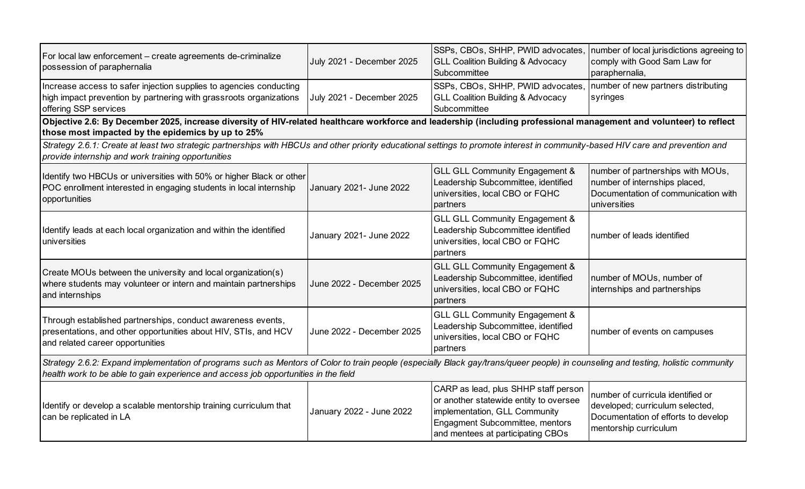| For local law enforcement - create agreements de-criminalize<br>possession of paraphernalia                                                                                                                                                                               | July 2021 - December 2025 | SSPs, CBOs, SHHP, PWID advocates,<br><b>GLL Coalition Building &amp; Advocacy</b><br>Subcommittee                                                                                       | number of local jurisdictions agreeing to<br>comply with Good Sam Law for<br>paraphernalia,                                          |  |
|---------------------------------------------------------------------------------------------------------------------------------------------------------------------------------------------------------------------------------------------------------------------------|---------------------------|-----------------------------------------------------------------------------------------------------------------------------------------------------------------------------------------|--------------------------------------------------------------------------------------------------------------------------------------|--|
| Increase access to safer injection supplies to agencies conducting<br>high impact prevention by partnering with grassroots organizations<br>offering SSP services                                                                                                         | July 2021 - December 2025 | SSPs, CBOs, SHHP, PWID advocates,<br><b>GLL Coalition Building &amp; Advocacy</b><br>Subcommittee                                                                                       | number of new partners distributing<br>syringes                                                                                      |  |
| Objective 2.6: By December 2025, increase diversity of HIV-related healthcare workforce and leadership (including professional management and volunteer) to reflect<br>those most impacted by the epidemics by up to 25%                                                  |                           |                                                                                                                                                                                         |                                                                                                                                      |  |
| Strategy 2.6.1: Create at least two strategic partnerships with HBCUs and other priority educational settings to promote interest in community-based HIV care and prevention and<br>provide internship and work training opportunities                                    |                           |                                                                                                                                                                                         |                                                                                                                                      |  |
| Identify two HBCUs or universities with 50% or higher Black or other<br>POC enrollment interested in engaging students in local internship<br>opportunities                                                                                                               | January 2021- June 2022   | <b>GLL GLL Community Engagement &amp;</b><br>Leadership Subcommittee, identified<br>universities, local CBO or FQHC<br>partners                                                         | number of partnerships with MOUs,<br>number of internships placed,<br>Documentation of communication with<br>universities            |  |
| Identify leads at each local organization and within the identified<br>universities                                                                                                                                                                                       | January 2021- June 2022   | <b>GLL GLL Community Engagement &amp;</b><br>Leadership Subcommittee identified<br>universities, local CBO or FQHC<br>partners                                                          | number of leads identified                                                                                                           |  |
| Create MOUs between the university and local organization(s)<br>where students may volunteer or intern and maintain partnerships<br>and internships                                                                                                                       | June 2022 - December 2025 | <b>GLL GLL Community Engagement &amp;</b><br>Leadership Subcommittee, identified<br>universities, local CBO or FQHC<br>partners                                                         | number of MOUs, number of<br>internships and partnerships                                                                            |  |
| Through established partnerships, conduct awareness events,<br>presentations, and other opportunities about HIV, STIs, and HCV<br>and related career opportunities                                                                                                        | June 2022 - December 2025 | <b>GLL GLL Community Engagement &amp;</b><br>Leadership Subcommittee, identified<br>universities, local CBO or FQHC<br>partners                                                         | number of events on campuses                                                                                                         |  |
| Strategy 2.6.2: Expand implementation of programs such as Mentors of Color to train people (especially Black gay/trans/queer people) in counseling and testing, holistic community<br>health work to be able to gain experience and access job opportunities in the field |                           |                                                                                                                                                                                         |                                                                                                                                      |  |
| Identify or develop a scalable mentorship training curriculum that<br>can be replicated in LA                                                                                                                                                                             | January 2022 - June 2022  | CARP as lead, plus SHHP staff person<br>or another statewide entity to oversee<br>implementation, GLL Community<br>Engagment Subcommittee, mentors<br>and mentees at participating CBOs | number of curricula identified or<br>developed; curriculum selected,<br>Documentation of efforts to develop<br>mentorship curriculum |  |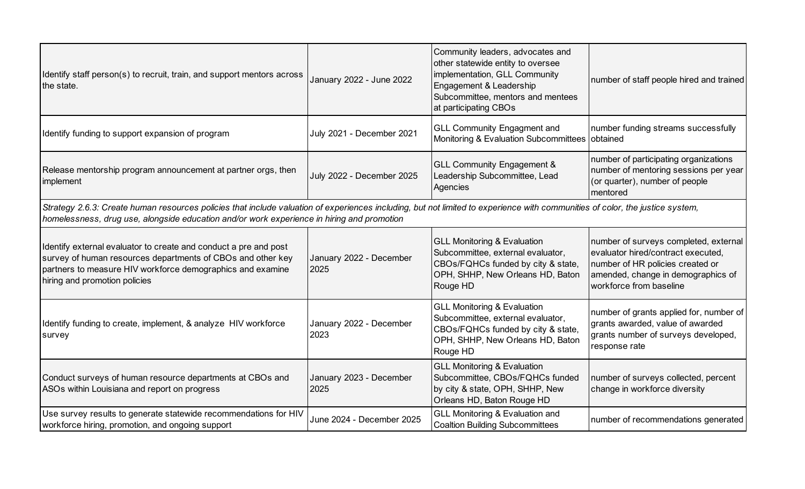| Identify staff person(s) to recruit, train, and support mentors across<br>the state.                                                                                                                                                                                        | January 2022 - June 2022        | Community leaders, advocates and<br>other statewide entity to oversee<br>implementation, GLL Community<br>Engagement & Leadership<br>Subcommittee, mentors and mentees<br>at participating CBOs | number of staff people hired and trained                                                                                                                                         |  |  |
|-----------------------------------------------------------------------------------------------------------------------------------------------------------------------------------------------------------------------------------------------------------------------------|---------------------------------|-------------------------------------------------------------------------------------------------------------------------------------------------------------------------------------------------|----------------------------------------------------------------------------------------------------------------------------------------------------------------------------------|--|--|
| Identify funding to support expansion of program                                                                                                                                                                                                                            | July 2021 - December 2021       | <b>GLL Community Engagment and</b><br>Monitoring & Evaluation Subcommittees                                                                                                                     | number funding streams successfully<br>obtained                                                                                                                                  |  |  |
| Release mentorship program announcement at partner orgs, then<br>implement                                                                                                                                                                                                  | July 2022 - December 2025       | <b>GLL Community Engagement &amp;</b><br>Leadership Subcommittee, Lead<br>Agencies                                                                                                              | number of participating organizations<br>number of mentoring sessions per year<br>(or quarter), number of people<br>mentored                                                     |  |  |
| Strategy 2.6.3: Create human resources policies that include valuation of experiences including, but not limited to experience with communities of color, the justice system,<br>homelessness, drug use, alongside education and/or work experience in hiring and promotion |                                 |                                                                                                                                                                                                 |                                                                                                                                                                                  |  |  |
| Identify external evaluator to create and conduct a pre and post<br>survey of human resources departments of CBOs and other key<br>partners to measure HIV workforce demographics and examine<br>hiring and promotion policies                                              | January 2022 - December<br>2025 | <b>GLL Monitoring &amp; Evaluation</b><br>Subcommittee, external evaluator,<br>CBOs/FQHCs funded by city & state,<br>OPH, SHHP, New Orleans HD, Baton<br>Rouge HD                               | number of surveys completed, external<br>evaluator hired/contract executed,<br>number of HR policies created or<br>amended, change in demographics of<br>workforce from baseline |  |  |
| Identify funding to create, implement, & analyze HIV workforce<br>survey                                                                                                                                                                                                    | January 2022 - December<br>2023 | <b>GLL Monitoring &amp; Evaluation</b><br>Subcommittee, external evaluator,<br>CBOs/FQHCs funded by city & state,<br>OPH, SHHP, New Orleans HD, Baton<br>Rouge HD                               | number of grants applied for, number of<br>grants awarded, value of awarded<br>grants number of surveys developed,<br>response rate                                              |  |  |
| Conduct surveys of human resource departments at CBOs and<br>ASOs within Louisiana and report on progress                                                                                                                                                                   | January 2023 - December<br>2025 | <b>GLL Monitoring &amp; Evaluation</b><br>Subcommittee, CBOs/FQHCs funded<br>by city & state, OPH, SHHP, New<br>Orleans HD, Baton Rouge HD                                                      | number of surveys collected, percent<br>change in workforce diversity                                                                                                            |  |  |
| Use survey results to generate statewide recommendations for HIV<br>workforce hiring, promotion, and ongoing support                                                                                                                                                        | June 2024 - December 2025       | <b>GLL Monitoring &amp; Evaluation and</b><br><b>Coaltion Building Subcommittees</b>                                                                                                            | number of recommendations generated                                                                                                                                              |  |  |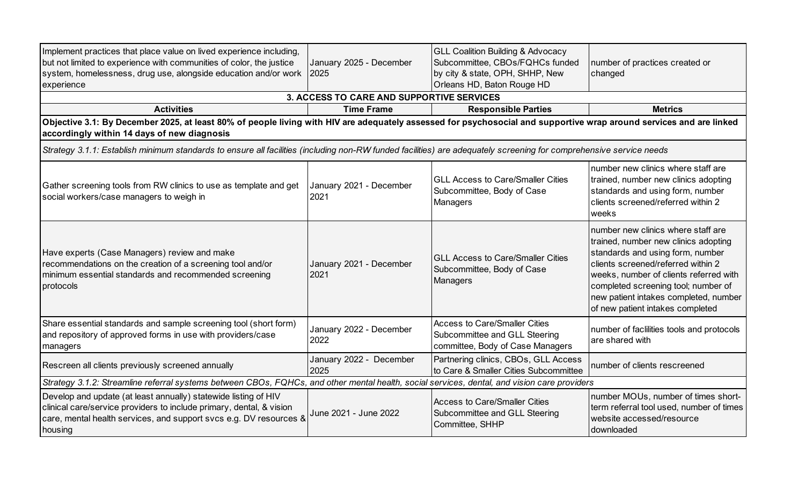| Implement practices that place value on lived experience including,<br>but not limited to experience with communities of color, the justice<br>system, homelessness, drug use, alongside education and/or work<br>experience | January 2025 - December<br>2025           | <b>GLL Coalition Building &amp; Advocacy</b><br>Subcommittee, CBOs/FQHCs funded<br>by city & state, OPH, SHHP, New<br>Orleans HD, Baton Rouge HD | number of practices created or<br>changed                                                                                                                                                                                                                                                                          |
|------------------------------------------------------------------------------------------------------------------------------------------------------------------------------------------------------------------------------|-------------------------------------------|--------------------------------------------------------------------------------------------------------------------------------------------------|--------------------------------------------------------------------------------------------------------------------------------------------------------------------------------------------------------------------------------------------------------------------------------------------------------------------|
|                                                                                                                                                                                                                              | 3. ACCESS TO CARE AND SUPPORTIVE SERVICES |                                                                                                                                                  |                                                                                                                                                                                                                                                                                                                    |
| <b>Activities</b>                                                                                                                                                                                                            | <b>Time Frame</b>                         | <b>Responsible Parties</b>                                                                                                                       | <b>Metrics</b>                                                                                                                                                                                                                                                                                                     |
| Objective 3.1: By December 2025, at least 80% of people living with HIV are adequately assessed for psychosocial and supportive wrap around services and are linked<br>accordingly within 14 days of new diagnosis           |                                           |                                                                                                                                                  |                                                                                                                                                                                                                                                                                                                    |
| Strategy 3.1.1: Establish minimum standards to ensure all facilities (including non-RW funded facilities) are adequately screening for comprehensive service needs                                                           |                                           |                                                                                                                                                  |                                                                                                                                                                                                                                                                                                                    |
| Gather screening tools from RW clinics to use as template and get<br>social workers/case managers to weigh in                                                                                                                | January 2021 - December<br>2021           | <b>GLL Access to Care/Smaller Cities</b><br>Subcommittee, Body of Case<br><b>Managers</b>                                                        | number new clinics where staff are<br>trained, number new clinics adopting<br>standards and using form, number<br>clients screened/referred within 2<br>weeks                                                                                                                                                      |
| Have experts (Case Managers) review and make<br>recommendations on the creation of a screening tool and/or<br>minimum essential standards and recommended screening<br>protocols                                             | January 2021 - December<br>2021           | <b>GLL Access to Care/Smaller Cities</b><br>Subcommittee, Body of Case<br>Managers                                                               | number new clinics where staff are<br>trained, number new clinics adopting<br>standards and using form, number<br>clients screened/referred within 2<br>weeks, number of clients referred with<br>completed screening tool; number of<br>new patient intakes completed, number<br>of new patient intakes completed |
| Share essential standards and sample screening tool (short form)<br>and repository of approved forms in use with providers/case<br>managers                                                                                  | January 2022 - December<br>2022           | <b>Access to Care/Smaller Cities</b><br>Subcommittee and GLL Steering<br>committee, Body of Case Managers                                        | number of facilities tools and protocols<br>are shared with                                                                                                                                                                                                                                                        |
| Rescreen all clients previously screened annually                                                                                                                                                                            | January 2022 - December<br>2025           | Partnering clinics, CBOs, GLL Access<br>to Care & Smaller Cities Subcommittee                                                                    | number of clients rescreened                                                                                                                                                                                                                                                                                       |
| Strategy 3.1.2: Streamline referral systems between CBOs, FQHCs, and other mental health, social services, dental, and vision care providers                                                                                 |                                           |                                                                                                                                                  |                                                                                                                                                                                                                                                                                                                    |
| Develop and update (at least annually) statewide listing of HIV<br>clinical care/service providers to include primary, dental, & vision<br>care, mental health services, and support svcs e.g. DV resources &<br>housing     | June 2021 - June 2022                     | <b>Access to Care/Smaller Cities</b><br>Subcommittee and GLL Steering<br>Committee, SHHP                                                         | number MOUs, number of times short-<br>term referral tool used, number of times<br>website accessed/resource<br>downloaded                                                                                                                                                                                         |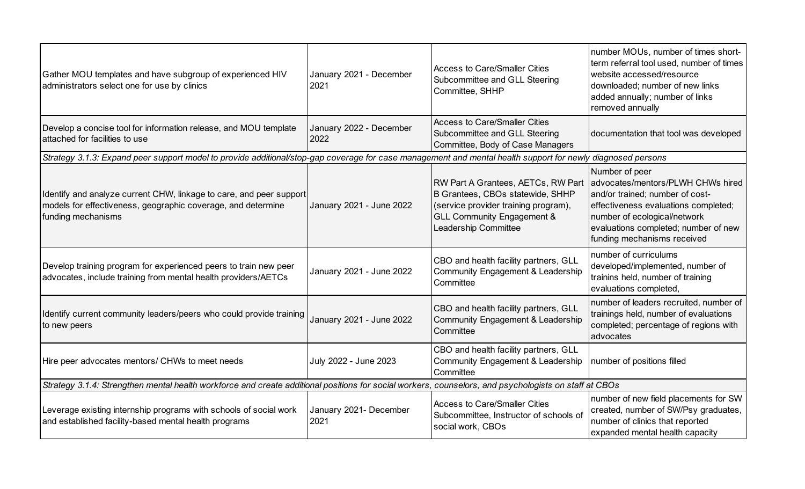| Gather MOU templates and have subgroup of experienced HIV<br>administrators select one for use by clinics                                                   | January 2021 - December<br>2021 | Access to Care/Smaller Cities<br>Subcommittee and GLL Steering<br>Committee, SHHP                                                                                                      | number MOUs, number of times short-<br>term referral tool used, number of times<br>website accessed/resource<br>downloaded; number of new links<br>added annually; number of links<br>removed annually                                |
|-------------------------------------------------------------------------------------------------------------------------------------------------------------|---------------------------------|----------------------------------------------------------------------------------------------------------------------------------------------------------------------------------------|---------------------------------------------------------------------------------------------------------------------------------------------------------------------------------------------------------------------------------------|
| Develop a concise tool for information release, and MOU template<br>attached for facilities to use                                                          | January 2022 - December<br>2022 | <b>Access to Care/Smaller Cities</b><br>Subcommittee and GLL Steering<br>Committee, Body of Case Managers                                                                              | documentation that tool was developed                                                                                                                                                                                                 |
| Strategy 3.1.3: Expand peer support model to provide additional/stop-gap coverage for case management and mental health support for newly diagnosed persons |                                 |                                                                                                                                                                                        |                                                                                                                                                                                                                                       |
| Identify and analyze current CHW, linkage to care, and peer support<br>models for effectiveness, geographic coverage, and determine<br>funding mechanisms   | January 2021 - June 2022        | <b>RW Part A Grantees, AETCs, RW Part</b><br>B Grantees, CBOs statewide, SHHP<br>(service provider training program),<br><b>GLL Community Engagement &amp;</b><br>Leadership Committee | Number of peer<br>advocates/mentors/PLWH CHWs hired<br>and/or trained; number of cost-<br>effectiveness evaluations completed;<br>number of ecological/network<br>evaluations completed; number of new<br>funding mechanisms received |
| Develop training program for experienced peers to train new peer<br>advocates, include training from mental health providers/AETCs                          | January 2021 - June 2022        | CBO and health facility partners, GLL<br>Community Engagement & Leadership<br>Committee                                                                                                | number of curriculums<br>developed/implemented, number of<br>trainins held, number of training<br>evaluations completed,                                                                                                              |
| Identify current community leaders/peers who could provide training<br>to new peers                                                                         | January 2021 - June 2022        | CBO and health facility partners, GLL<br>Community Engagement & Leadership<br>Committee                                                                                                | number of leaders recruited, number of<br>trainings held, number of evaluations<br>completed; percentage of regions with<br>advocates                                                                                                 |
| Hire peer advocates mentors/ CHWs to meet needs                                                                                                             | July 2022 - June 2023           | CBO and health facility partners, GLL<br>Community Engagement & Leadership<br><b>Committee</b>                                                                                         | number of positions filled                                                                                                                                                                                                            |
| Strategy 3.1.4: Strengthen mental health workforce and create additional positions for social workers, counselors, and psychologists on staff at CBOs       |                                 |                                                                                                                                                                                        |                                                                                                                                                                                                                                       |
| Leverage existing internship programs with schools of social work<br>and established facility-based mental health programs                                  | January 2021- December<br>2021  | <b>Access to Care/Smaller Cities</b><br>Subcommittee, Instructor of schools of<br>social work, CBOs                                                                                    | number of new field placements for SW<br>created, number of SW/Psy graduates,<br>number of clinics that reported<br>expanded mental health capacity                                                                                   |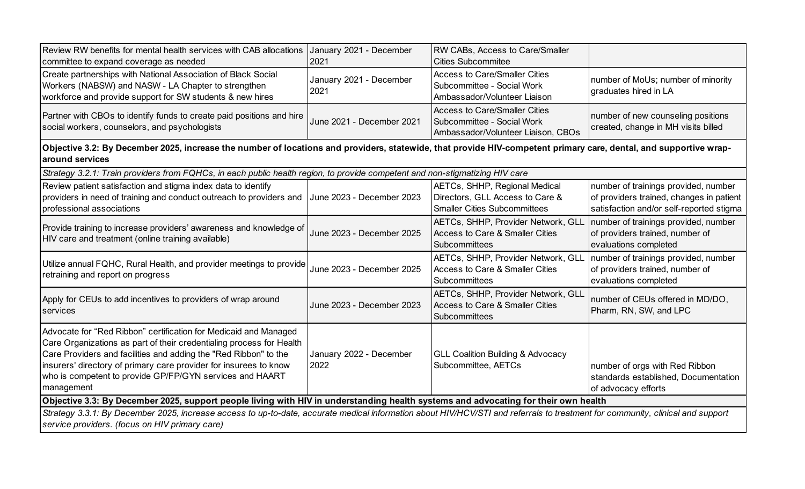| Review RW benefits for mental health services with CAB allocations<br>committee to expand coverage as needed                                                                                                                                                                                                                                                | January 2021 - December<br>2021 | RW CABs, Access to Care/Smaller<br><b>Cities Subcommitee</b>                                             |                                                                                                                              |  |
|-------------------------------------------------------------------------------------------------------------------------------------------------------------------------------------------------------------------------------------------------------------------------------------------------------------------------------------------------------------|---------------------------------|----------------------------------------------------------------------------------------------------------|------------------------------------------------------------------------------------------------------------------------------|--|
| Create partnerships with National Association of Black Social<br>Workers (NABSW) and NASW - LA Chapter to strengthen<br>workforce and provide support for SW students & new hires                                                                                                                                                                           | January 2021 - December<br>2021 | <b>Access to Care/Smaller Cities</b><br>Subcommittee - Social Work<br>Ambassador/Volunteer Liaison       | number of MoUs; number of minority<br>graduates hired in LA                                                                  |  |
| Partner with CBOs to identify funds to create paid positions and hire<br>social workers, counselors, and psychologists                                                                                                                                                                                                                                      | June 2021 - December 2021       | <b>Access to Care/Smaller Cities</b><br>Subcommittee - Social Work<br>Ambassador/Volunteer Liaison, CBOs | number of new counseling positions<br>created, change in MH visits billed                                                    |  |
| Objective 3.2: By December 2025, increase the number of locations and providers, statewide, that provide HIV-competent primary care, dental, and supportive wrap-<br>around services                                                                                                                                                                        |                                 |                                                                                                          |                                                                                                                              |  |
| Strategy 3.2.1: Train providers from FQHCs, in each public health region, to provide competent and non-stigmatizing HIV care                                                                                                                                                                                                                                |                                 |                                                                                                          |                                                                                                                              |  |
| Review patient satisfaction and stigma index data to identify<br>providers in need of training and conduct outreach to providers and June 2023 - December 2023<br>professional associations                                                                                                                                                                 |                                 | AETCs, SHHP, Regional Medical<br>Directors, GLL Access to Care &<br><b>Smaller Cities Subcommittees</b>  | number of trainings provided, number<br>of providers trained, changes in patient<br>satisfaction and/or self-reported stigma |  |
| Provide training to increase providers' awareness and knowledge of<br>HIV care and treatment (online training available)                                                                                                                                                                                                                                    | June 2023 - December 2025       | AETCs, SHHP, Provider Network, GLL<br>Access to Care & Smaller Cities<br>Subcommittees                   | number of trainings provided, number<br>of providers trained, number of<br>evaluations completed                             |  |
| Utilize annual FQHC, Rural Health, and provider meetings to provide<br>retraining and report on progress                                                                                                                                                                                                                                                    | June 2023 - December 2025       | AETCs, SHHP, Provider Network, GLL<br><b>Access to Care &amp; Smaller Cities</b><br>Subcommittees        | number of trainings provided, number<br>of providers trained, number of<br>evaluations completed                             |  |
| Apply for CEUs to add incentives to providers of wrap around<br>services                                                                                                                                                                                                                                                                                    | June 2023 - December 2023       | AETCs, SHHP, Provider Network, GLL<br><b>Access to Care &amp; Smaller Cities</b><br>Subcommittees        | number of CEUs offered in MD/DO,<br>Pharm, RN, SW, and LPC                                                                   |  |
| Advocate for "Red Ribbon" certification for Medicaid and Managed<br>Care Organizations as part of their credentialing process for Health<br>Care Providers and facilities and adding the "Red Ribbon" to the<br>insurers' directory of primary care provider for insurees to know<br>who is competent to provide GP/FP/GYN services and HAART<br>management | January 2022 - December<br>2022 | <b>GLL Coalition Building &amp; Advocacy</b><br>Subcommittee, AETCs                                      | number of orgs with Red Ribbon<br>standards established, Documentation<br>of advocacy efforts                                |  |
| Objective 3.3: By December 2025, support people living with HIV in understanding health systems and advocating for their own health                                                                                                                                                                                                                         |                                 |                                                                                                          |                                                                                                                              |  |
| Strategy 3.3.1: By December 2025, increase access to up-to-date, accurate medical information about HIV/HCV/STI and referrals to treatment for community, clinical and support<br>service providers. (focus on HIV primary care)                                                                                                                            |                                 |                                                                                                          |                                                                                                                              |  |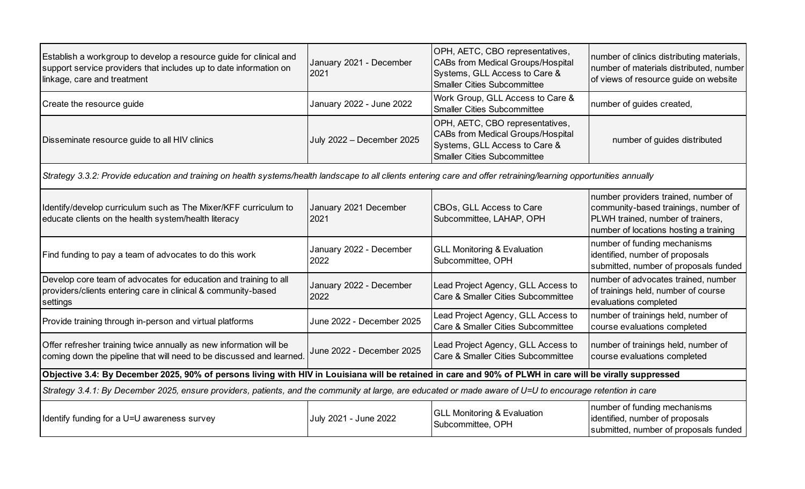| Establish a workgroup to develop a resource guide for clinical and<br>support service providers that includes up to date information on<br>linkage, care and treatment | January 2021 - December<br>2021 | OPH, AETC, CBO representatives,<br><b>CABs from Medical Groups/Hospital</b><br>Systems, GLL Access to Care &<br><b>Smaller Cities Subcommittee</b> | number of clinics distributing materials,<br>number of materials distributed, number<br>of views of resource guide on website                              |
|------------------------------------------------------------------------------------------------------------------------------------------------------------------------|---------------------------------|----------------------------------------------------------------------------------------------------------------------------------------------------|------------------------------------------------------------------------------------------------------------------------------------------------------------|
| Create the resource guide                                                                                                                                              | January 2022 - June 2022        | Work Group, GLL Access to Care &<br><b>Smaller Cities Subcommittee</b>                                                                             | number of guides created,                                                                                                                                  |
| Disseminate resource guide to all HIV clinics                                                                                                                          | July 2022 - December 2025       | OPH, AETC, CBO representatives,<br><b>CABs from Medical Groups/Hospital</b><br>Systems, GLL Access to Care &<br><b>Smaller Cities Subcommittee</b> | number of guides distributed                                                                                                                               |
| Strategy 3.3.2: Provide education and training on health systems/health landscape to all clients entering care and offer retraining/learning opportunities annually    |                                 |                                                                                                                                                    |                                                                                                                                                            |
| Identify/develop curriculum such as The Mixer/KFF curriculum to<br>educate clients on the health system/health literacy                                                | January 2021 December<br>2021   | CBOs, GLL Access to Care<br>Subcommittee, LAHAP, OPH                                                                                               | number providers trained, number of<br>community-based trainings, number of<br>PLWH trained, number of trainers,<br>number of locations hosting a training |
| Find funding to pay a team of advocates to do this work                                                                                                                | January 2022 - December<br>2022 | <b>GLL Monitoring &amp; Evaluation</b><br>Subcommittee, OPH                                                                                        | number of funding mechanisms<br>identified, number of proposals<br>submitted, number of proposals funded                                                   |
| Develop core team of advocates for education and training to all<br>providers/clients entering care in clinical & community-based<br>settings                          | January 2022 - December<br>2022 | Lead Project Agency, GLL Access to<br>Care & Smaller Cities Subcommittee                                                                           | number of advocates trained, number<br>of trainings held, number of course<br>evaluations completed                                                        |
| Provide training through in-person and virtual platforms                                                                                                               | June 2022 - December 2025       | Lead Project Agency, GLL Access to<br>Care & Smaller Cities Subcommittee                                                                           | number of trainings held, number of<br>course evaluations completed                                                                                        |
| Offer refresher training twice annually as new information will be<br>coming down the pipeline that will need to be discussed and learned.                             | June 2022 - December 2025       | Lead Project Agency, GLL Access to<br>Care & Smaller Cities Subcommittee                                                                           | number of trainings held, number of<br>course evaluations completed                                                                                        |
| Objective 3.4: By December 2025, 90% of persons living with HIV in Louisiana will be retained in care and 90% of PLWH in care will be virally suppressed               |                                 |                                                                                                                                                    |                                                                                                                                                            |
| Strategy 3.4.1: By December 2025, ensure providers, patients, and the community at large, are educated or made aware of U=U to encourage retention in care             |                                 |                                                                                                                                                    |                                                                                                                                                            |
| Identify funding for a U=U awareness survey                                                                                                                            | July 2021 - June 2022           | <b>GLL Monitoring &amp; Evaluation</b><br>Subcommittee, OPH                                                                                        | number of funding mechanisms<br>identified, number of proposals<br>submitted, number of proposals funded                                                   |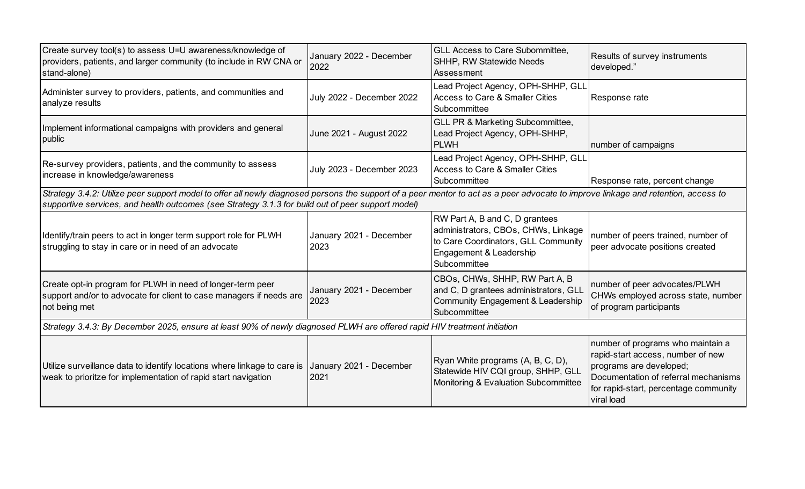| Create survey tool(s) to assess U=U awareness/knowledge of<br>providers, patients, and larger community (to include in RW CNA or<br>stand-alone)                                                                                                                                        | January 2022 - December<br>2022 | <b>GLL Access to Care Subommittee,</b><br><b>SHHP, RW Statewide Needs</b><br>Assessment                                                                 | Results of survey instruments<br>developed."                                                                                                                                                     |
|-----------------------------------------------------------------------------------------------------------------------------------------------------------------------------------------------------------------------------------------------------------------------------------------|---------------------------------|---------------------------------------------------------------------------------------------------------------------------------------------------------|--------------------------------------------------------------------------------------------------------------------------------------------------------------------------------------------------|
| Administer survey to providers, patients, and communities and<br>analyze results                                                                                                                                                                                                        | July 2022 - December 2022       | Lead Project Agency, OPH-SHHP, GLL<br><b>Access to Care &amp; Smaller Cities</b><br>Subcommittee                                                        | Response rate                                                                                                                                                                                    |
| Implement informational campaigns with providers and general<br>public                                                                                                                                                                                                                  | June 2021 - August 2022         | <b>GLL PR &amp; Marketing Subcommittee,</b><br>Lead Project Agency, OPH-SHHP,<br><b>PLWH</b>                                                            | number of campaigns                                                                                                                                                                              |
| Re-survey providers, patients, and the community to assess<br>increase in knowledge/awareness                                                                                                                                                                                           | July 2023 - December 2023       | Lead Project Agency, OPH-SHHP, GLL<br>Access to Care & Smaller Cities<br>Subcommittee                                                                   | Response rate, percent change                                                                                                                                                                    |
| Strategy 3.4.2: Utilize peer support model to offer all newly diagnosed persons the support of a peer mentor to act as a peer advocate to improve linkage and retention, access to<br>supportive services, and health outcomes (see Strategy 3.1.3 for build out of peer support model) |                                 |                                                                                                                                                         |                                                                                                                                                                                                  |
| Identify/train peers to act in longer term support role for PLWH<br>struggling to stay in care or in need of an advocate                                                                                                                                                                | January 2021 - December<br>2023 | RW Part A, B and C, D grantees<br>administrators, CBOs, CHWs, Linkage<br>to Care Coordinators, GLL Community<br>Engagement & Leadership<br>Subcommittee | number of peers trained, number of<br>peer advocate positions created                                                                                                                            |
| Create opt-in program for PLWH in need of longer-term peer<br>support and/or to advocate for client to case managers if needs are<br>not being met                                                                                                                                      | January 2021 - December<br>2023 | CBOs, CHWs, SHHP, RW Part A, B<br>and C, D grantees administrators, GLL<br>Community Engagement & Leadership<br>Subcommittee                            | number of peer advocates/PLWH<br>CHWs employed across state, number<br>of program participants                                                                                                   |
| Strategy 3.4.3: By December 2025, ensure at least 90% of newly diagnosed PLWH are offered rapid HIV treatment initiation                                                                                                                                                                |                                 |                                                                                                                                                         |                                                                                                                                                                                                  |
| Utilize surveillance data to identify locations where linkage to care is<br>weak to prioritze for implementation of rapid start navigation                                                                                                                                              | January 2021 - December<br>2021 | Ryan White programs (A, B, C, D),<br>Statewide HIV CQI group, SHHP, GLL<br>Monitoring & Evaluation Subcommittee                                         | number of programs who maintain a<br>rapid-start access, number of new<br>programs are developed;<br>Documentation of referral mechanisms<br>for rapid-start, percentage community<br>viral load |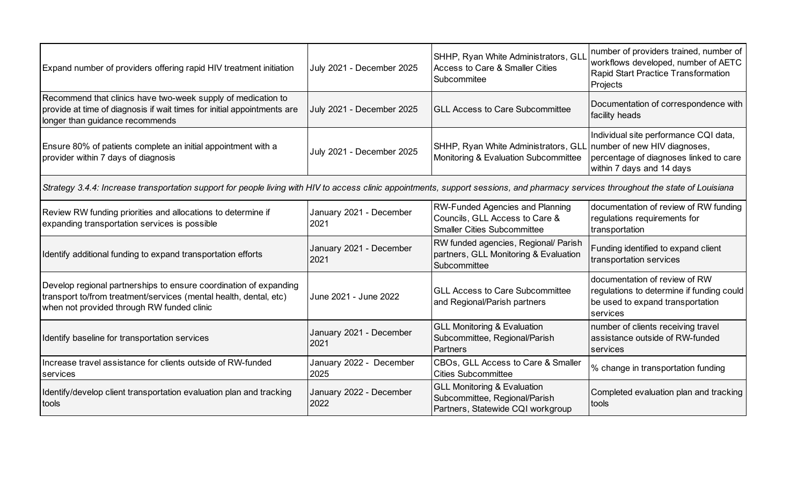| Expand number of providers offering rapid HIV treatment initiation                                                                                                                   | July 2021 - December 2025       | SHHP, Ryan White Administrators, GLL<br>Access to Care & Smaller Cities<br>Subcommitee                         | number of providers trained, number of<br>workflows developed, number of AETC<br>Rapid Start Practice Transformation<br>Projects             |
|--------------------------------------------------------------------------------------------------------------------------------------------------------------------------------------|---------------------------------|----------------------------------------------------------------------------------------------------------------|----------------------------------------------------------------------------------------------------------------------------------------------|
| Recommend that clinics have two-week supply of medication to<br>provide at time of diagnosis if wait times for initial appointments are<br>longer than guidance recommends           | July 2021 - December 2025       | <b>GLL Access to Care Subcommittee</b>                                                                         | Documentation of correspondence with<br>facility heads                                                                                       |
| Ensure 80% of patients complete an initial appointment with a<br>provider within 7 days of diagnosis                                                                                 | July 2021 - December 2025       | SHHP, Ryan White Administrators, GLL<br>Monitoring & Evaluation Subcommittee                                   | Individual site performance CQI data,<br>number of new HIV diagnoses,<br>percentage of diagnoses linked to care<br>within 7 days and 14 days |
| Strategy 3.4.4: Increase transportation support for people living with HIV to access clinic appointments, support sessions, and pharmacy services throughout the state of Louisiana  |                                 |                                                                                                                |                                                                                                                                              |
| Review RW funding priorities and allocations to determine if<br>expanding transportation services is possible                                                                        | January 2021 - December<br>2021 | <b>RW-Funded Agencies and Planning</b><br>Councils, GLL Access to Care &<br><b>Smaller Cities Subcommittee</b> | documentation of review of RW funding<br>regulations requirements for<br>transportation                                                      |
| Identify additional funding to expand transportation efforts                                                                                                                         | January 2021 - December<br>2021 | RW funded agencies, Regional/ Parish<br>partners, GLL Monitoring & Evaluation<br>Subcommittee                  | Funding identified to expand client<br>transportation services                                                                               |
| Develop regional partnerships to ensure coordination of expanding<br>transport to/from treatment/services (mental health, dental, etc)<br>when not provided through RW funded clinic | June 2021 - June 2022           | <b>GLL Access to Care Subcommittee</b><br>and Regional/Parish partners                                         | documentation of review of RW<br>regulations to determine if funding could<br>be used to expand transportation<br>services                   |
| Identify baseline for transportation services                                                                                                                                        | January 2021 - December<br>2021 | <b>GLL Monitoring &amp; Evaluation</b><br>Subcommittee, Regional/Parish<br><b>Partners</b>                     | number of clients receiving travel<br>assistance outside of RW-funded<br>services                                                            |
| Increase travel assistance for clients outside of RW-funded<br>services                                                                                                              | January 2022 - December<br>2025 | CBOs, GLL Access to Care & Smaller<br><b>Cities Subcommittee</b>                                               | % change in transportation funding                                                                                                           |
| Identify/develop client transportation evaluation plan and tracking<br>tools                                                                                                         | January 2022 - December<br>2022 | <b>GLL Monitoring &amp; Evaluation</b><br>Subcommittee, Regional/Parish<br>Partners, Statewide CQI workgroup   | Completed evaluation plan and tracking<br>tools                                                                                              |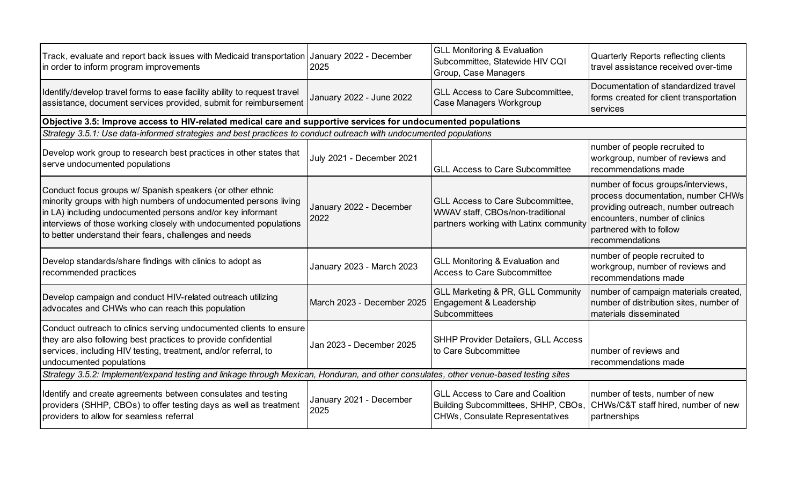| Track, evaluate and report back issues with Medicaid transportation   January 2022 - December<br>in order to inform program improvements                                                                                                                                                                                   | 2025                            | <b>GLL Monitoring &amp; Evaluation</b><br>Subcommittee, Statewide HIV CQI<br>Group, Case Managers                        | <b>Quarterly Reports reflecting clients</b><br>travel assistance received over-time                                                                                                             |
|----------------------------------------------------------------------------------------------------------------------------------------------------------------------------------------------------------------------------------------------------------------------------------------------------------------------------|---------------------------------|--------------------------------------------------------------------------------------------------------------------------|-------------------------------------------------------------------------------------------------------------------------------------------------------------------------------------------------|
| Identify/develop travel forms to ease facility ability to request travel<br>assistance, document services provided, submit for reimbursement                                                                                                                                                                               | January 2022 - June 2022        | <b>GLL Access to Care Subcommittee,</b><br>Case Managers Workgroup                                                       | Documentation of standardized travel<br>forms created for client transportation<br>services                                                                                                     |
| Objective 3.5: Improve access to HIV-related medical care and supportive services for undocumented populations                                                                                                                                                                                                             |                                 |                                                                                                                          |                                                                                                                                                                                                 |
| Strategy 3.5.1: Use data-informed strategies and best practices to conduct outreach with undocumented populations                                                                                                                                                                                                          |                                 |                                                                                                                          |                                                                                                                                                                                                 |
| Develop work group to research best practices in other states that<br>serve undocumented populations                                                                                                                                                                                                                       | July 2021 - December 2021       | <b>GLL Access to Care Subcommittee</b>                                                                                   | number of people recruited to<br>workgroup, number of reviews and<br>recommendations made                                                                                                       |
| Conduct focus groups w/ Spanish speakers (or other ethnic<br>minority groups with high numbers of undocumented persons living<br>in LA) including undocumented persons and/or key informant<br>interviews of those working closely with undocumented populations<br>to better understand their fears, challenges and needs | January 2022 - December<br>2022 | <b>GLL Access to Care Subcommittee,</b><br>WWAV staff, CBOs/non-traditional<br>partners working with Latinx community    | number of focus groups/interviews,<br>process documentation, number CHWs<br>providing outreach, number outreach<br>encounters, number of clinics<br>partnered with to follow<br>recommendations |
| Develop standards/share findings with clinics to adopt as<br>recommended practices                                                                                                                                                                                                                                         | January 2023 - March 2023       | <b>GLL Monitoring &amp; Evaluation and</b><br><b>Access to Care Subcommittee</b>                                         | number of people recruited to<br>workgroup, number of reviews and<br>recommendations made                                                                                                       |
| Develop campaign and conduct HIV-related outreach utilizing<br>advocates and CHWs who can reach this population                                                                                                                                                                                                            | March 2023 - December 2025      | <b>GLL Marketing &amp; PR, GLL Community</b><br>Engagement & Leadership<br>Subcommittees                                 | number of campaign materials created,<br>number of distribution sites, number of<br>materials disseminated                                                                                      |
| Conduct outreach to clinics serving undocumented clients to ensure<br>they are also following best practices to provide confidential<br>services, including HIV testing, treatment, and/or referral, to<br>undocumented populations                                                                                        | Jan 2023 - December 2025        | <b>SHHP Provider Detailers, GLL Access</b><br>to Care Subcommittee                                                       | number of reviews and<br>recommendations made                                                                                                                                                   |
| Strategy 3.5.2: Implement/expand testing and linkage through Mexican, Honduran, and other consulates, other venue-based testing sites                                                                                                                                                                                      |                                 |                                                                                                                          |                                                                                                                                                                                                 |
| Identify and create agreements between consulates and testing<br>providers (SHHP, CBOs) to offer testing days as well as treatment<br>providers to allow for seamless referral                                                                                                                                             | January 2021 - December<br>2025 | <b>GLL Access to Care and Coalition</b><br>Building Subcommittees, SHHP, CBOs,<br><b>CHWs, Consulate Representatives</b> | number of tests, number of new<br>CHWs/C&T staff hired, number of new<br>partnerships                                                                                                           |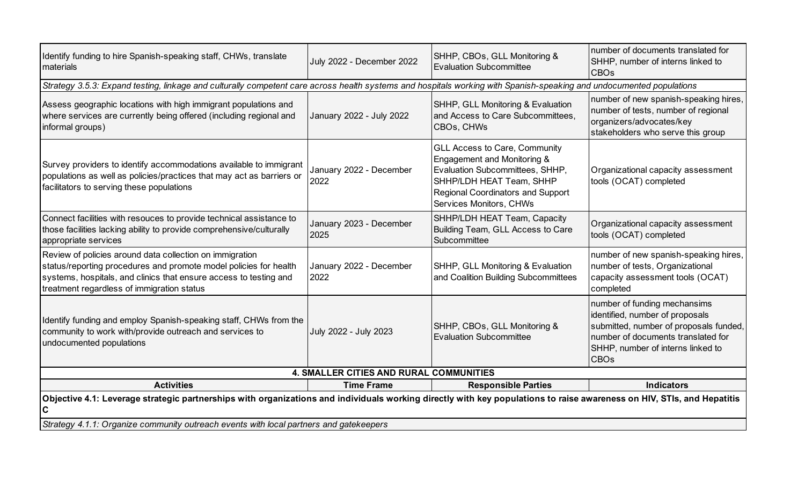| Identify funding to hire Spanish-speaking staff, CHWs, translate<br>materials                                                                                                                                                                                    | July 2022 - December 2022       | SHHP, CBOs, GLL Monitoring &<br><b>Evaluation Subcommittee</b>                                                                                                                                                | number of documents translated for<br>SHHP, number of interns linked to<br><b>CBOs</b>                                                                                                              |
|------------------------------------------------------------------------------------------------------------------------------------------------------------------------------------------------------------------------------------------------------------------|---------------------------------|---------------------------------------------------------------------------------------------------------------------------------------------------------------------------------------------------------------|-----------------------------------------------------------------------------------------------------------------------------------------------------------------------------------------------------|
| Strategy 3.5.3: Expand testing, linkage and culturally competent care across health systems and hospitals working with Spanish-speaking and undocumented populations                                                                                             |                                 |                                                                                                                                                                                                               |                                                                                                                                                                                                     |
| Assess geographic locations with high immigrant populations and<br>where services are currently being offered (including regional and<br>informal groups)                                                                                                        | January 2022 - July 2022        | SHHP, GLL Monitoring & Evaluation<br>and Access to Care Subcommittees,<br>CBOs, CHWs                                                                                                                          | number of new spanish-speaking hires,<br>number of tests, number of regional<br>organizers/advocates/key<br>stakeholders who serve this group                                                       |
| Survey providers to identify accommodations available to immigrant<br>populations as well as policies/practices that may act as barriers or<br>facilitators to serving these populations                                                                         | January 2022 - December<br>2022 | <b>GLL Access to Care, Community</b><br><b>Engagement and Monitoring &amp;</b><br>Evaluation Subcommittees, SHHP,<br>SHHP/LDH HEAT Team, SHHP<br>Regional Coordinators and Support<br>Services Monitors, CHWs | Organizational capacity assessment<br>tools (OCAT) completed                                                                                                                                        |
| Connect facilities with resouces to provide technical assistance to<br>those facilities lacking ability to provide comprehensive/culturally<br>appropriate services                                                                                              | January 2023 - December<br>2025 | SHHP/LDH HEAT Team, Capacity<br>Building Team, GLL Access to Care<br>Subcommittee                                                                                                                             | Organizational capacity assessment<br>tools (OCAT) completed                                                                                                                                        |
| Review of policies around data collection on immigration<br>status/reporting procedures and promote model policies for health<br>systems, hospitals, and clinics that ensure access to testing and<br>treatment regardless of immigration status                 | January 2022 - December<br>2022 | SHHP, GLL Monitoring & Evaluation<br>and Coalition Building Subcommittees                                                                                                                                     | number of new spanish-speaking hires,<br>number of tests, Organizational<br>capacity assessment tools (OCAT)<br>completed                                                                           |
| Identify funding and employ Spanish-speaking staff, CHWs from the<br>community to work with/provide outreach and services to<br>undocumented populations                                                                                                         | July 2022 - July 2023           | SHHP, CBOs, GLL Monitoring &<br><b>Evaluation Subcommittee</b>                                                                                                                                                | number of funding mechansims<br>identified, number of proposals<br>submitted, number of proposals funded,<br>number of documents translated for<br>SHHP, number of interns linked to<br><b>CBOs</b> |
| <b>4. SMALLER CITIES AND RURAL COMMUNITIES</b>                                                                                                                                                                                                                   |                                 |                                                                                                                                                                                                               |                                                                                                                                                                                                     |
| <b>Activities</b>                                                                                                                                                                                                                                                | <b>Time Frame</b>               | <b>Responsible Parties</b>                                                                                                                                                                                    | <b>Indicators</b>                                                                                                                                                                                   |
| Objective 4.1: Leverage strategic partnerships with organizations and individuals working directly with key populations to raise awareness on HIV, STIs, and Hepatitis<br>Strategy 4.1.1: Organize community outreach events with local partners and gatekeepers |                                 |                                                                                                                                                                                                               |                                                                                                                                                                                                     |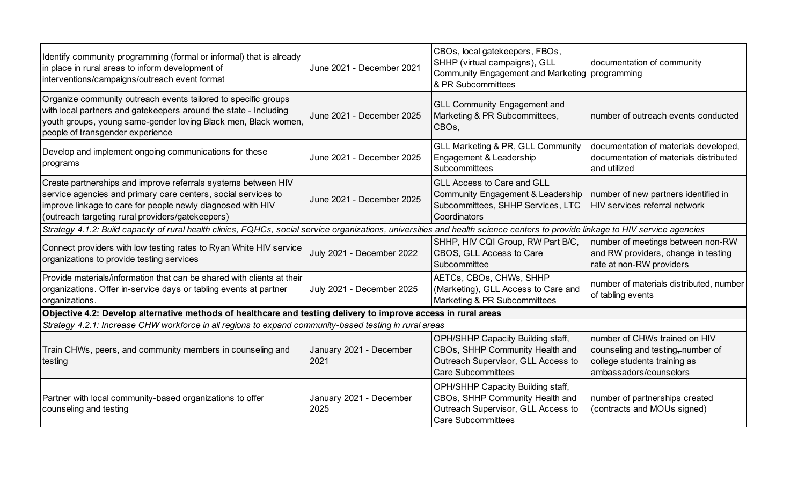| Identify community programming (formal or informal) that is already<br>in place in rural areas to inform development of<br>interventions/campaigns/outreach event format                                                                          | June 2021 - December 2021       | CBOs, local gatekeepers, FBOs,<br>SHHP (virtual campaigns), GLL<br>Community Engagement and Marketing programming<br>& PR Subcommittees | documentation of community                                                                                                   |
|---------------------------------------------------------------------------------------------------------------------------------------------------------------------------------------------------------------------------------------------------|---------------------------------|-----------------------------------------------------------------------------------------------------------------------------------------|------------------------------------------------------------------------------------------------------------------------------|
| Organize community outreach events tailored to specific groups<br>with local partners and gatekeepers around the state - Including<br>youth groups, young same-gender loving Black men, Black women,<br>people of transgender experience          | June 2021 - December 2025       | <b>GLL Community Engagement and</b><br>Marketing & PR Subcommittees,<br>CBO <sub>s</sub> ,                                              | number of outreach events conducted                                                                                          |
| Develop and implement ongoing communications for these<br>programs                                                                                                                                                                                | June 2021 - December 2025       | <b>GLL Marketing &amp; PR, GLL Community</b><br>Engagement & Leadership<br>Subcommittees                                                | documentation of materials developed,<br>documentation of materials distributed<br>and utilized                              |
| Create partnerships and improve referrals systems between HIV<br>service agencies and primary care centers, social services to<br>improve linkage to care for people newly diagnosed with HIV<br>(outreach targeting rural providers/gatekeepers) | June 2021 - December 2025       | <b>GLL Access to Care and GLL</b><br>Community Engagement & Leadership<br>Subcommittees, SHHP Services, LTC<br>Coordinators             | number of new partners identified in<br>HIV services referral network                                                        |
| Strategy 4.1.2: Build capacity of rural health clinics, FQHCs, social service organizations, universities and health science centers to provide linkage to HIV service agencies                                                                   |                                 |                                                                                                                                         |                                                                                                                              |
| Connect providers with low testing rates to Ryan White HIV service<br>organizations to provide testing services                                                                                                                                   | July 2021 - December 2022       | SHHP, HIV CQI Group, RW Part B/C,<br>CBOS, GLL Access to Care<br>Subcommittee                                                           | number of meetings between non-RW<br>and RW providers, change in testing<br>rate at non-RW providers                         |
| Provide materials/information that can be shared with clients at their<br>organizations. Offer in-service days or tabling events at partner<br>organizations.                                                                                     | July 2021 - December 2025       | AETCs, CBOs, CHWs, SHHP<br>(Marketing), GLL Access to Care and<br>Marketing & PR Subcommittees                                          | number of materials distributed, number<br>of tabling events                                                                 |
| Objective 4.2: Develop alternative methods of healthcare and testing delivery to improve access in rural areas                                                                                                                                    |                                 |                                                                                                                                         |                                                                                                                              |
| Strategy 4.2.1: Increase CHW workforce in all regions to expand community-based testing in rural areas                                                                                                                                            |                                 |                                                                                                                                         |                                                                                                                              |
| Train CHWs, peers, and community members in counseling and<br>testing                                                                                                                                                                             | January 2021 - December<br>2021 | OPH/SHHP Capacity Building staff,<br>CBOs, SHHP Community Health and<br>Outreach Supervisor, GLL Access to<br><b>Care Subcommittees</b> | number of CHWs trained on HIV<br>counseling and testing, number of<br>college students training as<br>ambassadors/counselors |
| Partner with local community-based organizations to offer<br>counseling and testing                                                                                                                                                               | January 2021 - December<br>2025 | OPH/SHHP Capacity Building staff,<br>CBOs, SHHP Community Health and<br>Outreach Supervisor, GLL Access to<br><b>Care Subcommittees</b> | number of partnerships created<br>(contracts and MOUs signed)                                                                |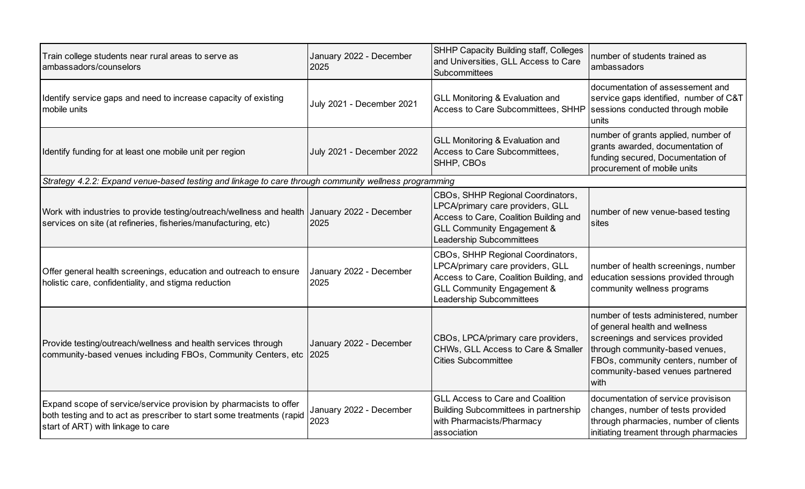| Train college students near rural areas to serve as<br>ambassadors/counselors                                                                                                    | January 2022 - December<br>2025 | <b>SHHP Capacity Building staff, Colleges</b><br>and Universities, GLL Access to Care<br>Subcommittees                                                                                | number of students trained as<br>ambassadors                                                                                                                                                                                    |
|----------------------------------------------------------------------------------------------------------------------------------------------------------------------------------|---------------------------------|---------------------------------------------------------------------------------------------------------------------------------------------------------------------------------------|---------------------------------------------------------------------------------------------------------------------------------------------------------------------------------------------------------------------------------|
| Identify service gaps and need to increase capacity of existing<br>mobile units                                                                                                  | July 2021 - December 2021       | <b>GLL Monitoring &amp; Evaluation and</b><br>Access to Care Subcommittees, SHHP                                                                                                      | documentation of assessement and<br>service gaps identified, number of C&T<br>sessions conducted through mobile<br>units                                                                                                        |
| Identify funding for at least one mobile unit per region                                                                                                                         | July 2021 - December 2022       | <b>GLL Monitoring &amp; Evaluation and</b><br>Access to Care Subcommittees,<br>SHHP, CBOs                                                                                             | number of grants applied, number of<br>grants awarded, documentation of<br>funding secured, Documentation of<br>procurement of mobile units                                                                                     |
| Strategy 4.2.2: Expand venue-based testing and linkage to care through community wellness programming                                                                            |                                 |                                                                                                                                                                                       |                                                                                                                                                                                                                                 |
| Work with industries to provide testing/outreach/wellness and health January 2022 - December<br>services on site (at refineries, fisheries/manufacturing, etc)                   | 2025                            | CBOs, SHHP Regional Coordinators,<br>LPCA/primary care providers, GLL<br>Access to Care, Coalition Building and<br><b>GLL Community Engagement &amp;</b><br>Leadership Subcommittees  | number of new venue-based testing<br>sites                                                                                                                                                                                      |
| Offer general health screenings, education and outreach to ensure<br>holistic care, confidentiality, and stigma reduction                                                        | January 2022 - December<br>2025 | CBOs, SHHP Regional Coordinators,<br>LPCA/primary care providers, GLL<br>Access to Care, Coalition Building, and<br><b>GLL Community Engagement &amp;</b><br>Leadership Subcommittees | number of health screenings, number<br>education sessions provided through<br>community wellness programs                                                                                                                       |
| Provide testing/outreach/wellness and health services through<br>community-based venues including FBOs, Community Centers, etc                                                   | January 2022 - December<br>2025 | CBOs, LPCA/primary care providers,<br>CHWs, GLL Access to Care & Smaller<br><b>Cities Subcommittee</b>                                                                                | number of tests administered, number<br>of general health and wellness<br>screenings and services provided<br>through community-based venues,<br>FBOs, community centers, number of<br>community-based venues partnered<br>with |
| Expand scope of service/service provision by pharmacists to offer<br>both testing and to act as prescriber to start some treatments (rapid<br>start of ART) with linkage to care | January 2022 - December<br>2023 | <b>GLL Access to Care and Coalition</b><br>Building Subcommittees in partnership<br>with Pharmacists/Pharmacy<br>association                                                          | documentation of service provisison<br>changes, number of tests provided<br>through pharmacies, number of clients<br>initiating treament through pharmacies                                                                     |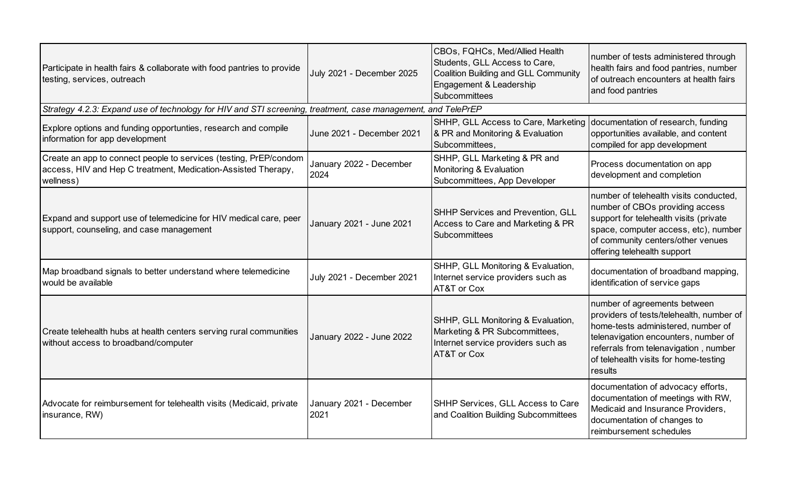| Participate in health fairs & collaborate with food pantries to provide<br>testing, services, outreach                                          | July 2021 - December 2025       | CBOs, FQHCs, Med/Allied Health<br>Students, GLL Access to Care,<br>Coalition Building and GLL Community<br>Engagement & Leadership<br>Subcommittees | number of tests administered through<br>health fairs and food pantries, number<br>of outreach encounters at health fairs<br>and food pantries                                                                                                       |
|-------------------------------------------------------------------------------------------------------------------------------------------------|---------------------------------|-----------------------------------------------------------------------------------------------------------------------------------------------------|-----------------------------------------------------------------------------------------------------------------------------------------------------------------------------------------------------------------------------------------------------|
| Strategy 4.2.3: Expand use of technology for HIV and STI screening, treatment, case management, and TelePrEP                                    |                                 |                                                                                                                                                     |                                                                                                                                                                                                                                                     |
| Explore options and funding opportunties, research and compile<br>information for app development                                               | June 2021 - December 2021       | SHHP, GLL Access to Care, Marketing<br>& PR and Monitoring & Evaluation<br>Subcommittees,                                                           | documentation of research, funding<br>opportunities available, and content<br>compiled for app development                                                                                                                                          |
| Create an app to connect people to services (testing, PrEP/condom<br>access, HIV and Hep C treatment, Medication-Assisted Therapy,<br>wellness) | January 2022 - December<br>2024 | SHHP, GLL Marketing & PR and<br>Monitoring & Evaluation<br>Subcommittees, App Developer                                                             | Process documentation on app<br>development and completion                                                                                                                                                                                          |
| Expand and support use of telemedicine for HIV medical care, peer<br>support, counseling, and case management                                   | January 2021 - June 2021        | <b>SHHP Services and Prevention, GLL</b><br>Access to Care and Marketing & PR<br>Subcommittees                                                      | number of telehealth visits conducted,<br>number of CBOs providing access<br>support for telehealth visits (private<br>space, computer access, etc), number<br>of community centers/other venues<br>offering telehealth support                     |
| Map broadband signals to better understand where telemedicine<br>would be available                                                             | July 2021 - December 2021       | SHHP, GLL Monitoring & Evaluation,<br>Internet service providers such as<br>AT&T or Cox                                                             | documentation of broadband mapping,<br>identification of service gaps                                                                                                                                                                               |
| Create telehealth hubs at health centers serving rural communities<br>without access to broadband/computer                                      | January 2022 - June 2022        | SHHP, GLL Monitoring & Evaluation,<br>Marketing & PR Subcommittees,<br>Internet service providers such as<br>AT&T or Cox                            | number of agreements between<br>providers of tests/telehealth, number of<br>home-tests administered, number of<br>telenavigation encounters, number of<br>referrals from telenavigation, number<br>of telehealth visits for home-testing<br>results |
| Advocate for reimbursement for telehealth visits (Medicaid, private<br>insurance, RW)                                                           | January 2021 - December<br>2021 | SHHP Services, GLL Access to Care<br>and Coalition Building Subcommittees                                                                           | documentation of advocacy efforts,<br>documentation of meetings with RW,<br>Medicaid and Insurance Providers,<br>documentation of changes to<br>reimbursement schedules                                                                             |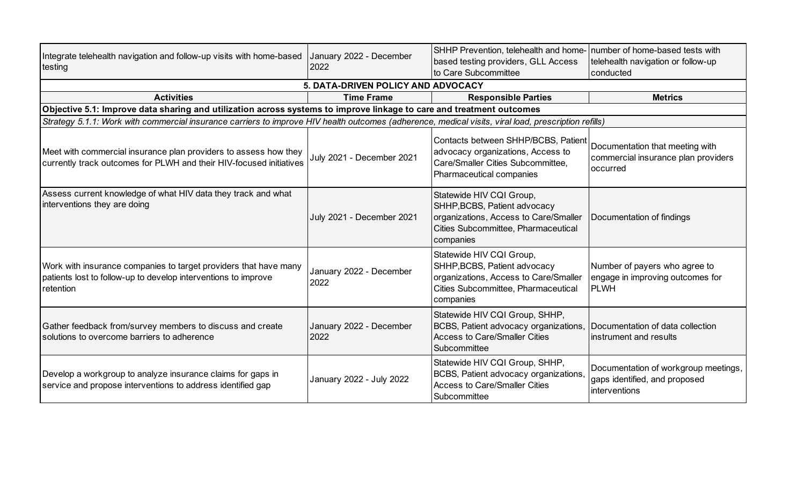| Integrate telehealth navigation and follow-up visits with home-based<br>testing                                                                      | January 2022 - December<br>2022    | SHHP Prevention, telehealth and home- number of home-based tests with<br>based testing providers, GLL Access<br>to Care Subcommittee                             | telehealth navigation or follow-up<br>conducted                                        |
|------------------------------------------------------------------------------------------------------------------------------------------------------|------------------------------------|------------------------------------------------------------------------------------------------------------------------------------------------------------------|----------------------------------------------------------------------------------------|
|                                                                                                                                                      | 5. DATA-DRIVEN POLICY AND ADVOCACY |                                                                                                                                                                  |                                                                                        |
| <b>Activities</b>                                                                                                                                    | <b>Time Frame</b>                  | <b>Responsible Parties</b>                                                                                                                                       | <b>Metrics</b>                                                                         |
| Objective 5.1: Improve data sharing and utilization across systems to improve linkage to care and treatment outcomes                                 |                                    |                                                                                                                                                                  |                                                                                        |
| Strategy 5.1.1: Work with commercial insurance carriers to improve HIV health outcomes (adherence, medical visits, viral load, prescription refills) |                                    |                                                                                                                                                                  |                                                                                        |
| Meet with commercial insurance plan providers to assess how they<br>currently track outcomes for PLWH and their HIV-focused initiatives              | July 2021 - December 2021          | Contacts between SHHP/BCBS, Patient<br>advocacy organizations, Access to<br>Care/Smaller Cities Subcommittee,<br>Pharmaceutical companies                        | Documentation that meeting with<br>commercial insurance plan providers<br>occurred     |
| Assess current knowledge of what HIV data they track and what<br>interventions they are doing                                                        | July 2021 - December 2021          | Statewide HIV CQI Group,<br>SHHP, BCBS, Patient advocacy<br>organizations, Access to Care/Smaller<br>Cities Subcommittee, Pharmaceutical<br>companies            | Documentation of findings                                                              |
| Work with insurance companies to target providers that have many<br>patients lost to follow-up to develop interventions to improve<br>retention      | January 2022 - December<br>2022    | Statewide HIV CQI Group,<br>SHHP, BCBS, Patient advocacy<br>organizations, Access to Care/Smaller<br>Cities Subcommittee, Pharmaceutical<br>companies            | Number of payers who agree to<br>engage in improving outcomes for<br><b>PLWH</b>       |
| Gather feedback from/survey members to discuss and create<br>solutions to overcome barriers to adherence                                             | January 2022 - December<br>2022    | Statewide HIV CQI Group, SHHP,<br>BCBS, Patient advocacy organizations, Documentation of data collection<br><b>Access to Care/Smaller Cities</b><br>Subcommittee | linstrument and results                                                                |
| Develop a workgroup to analyze insurance claims for gaps in<br>service and propose interventions to address identified gap                           | January 2022 - July 2022           | Statewide HIV CQI Group, SHHP,<br>BCBS, Patient advocacy organizations,<br><b>Access to Care/Smaller Cities</b><br>Subcommittee                                  | Documentation of workgroup meetings,<br>gaps identified, and proposed<br>interventions |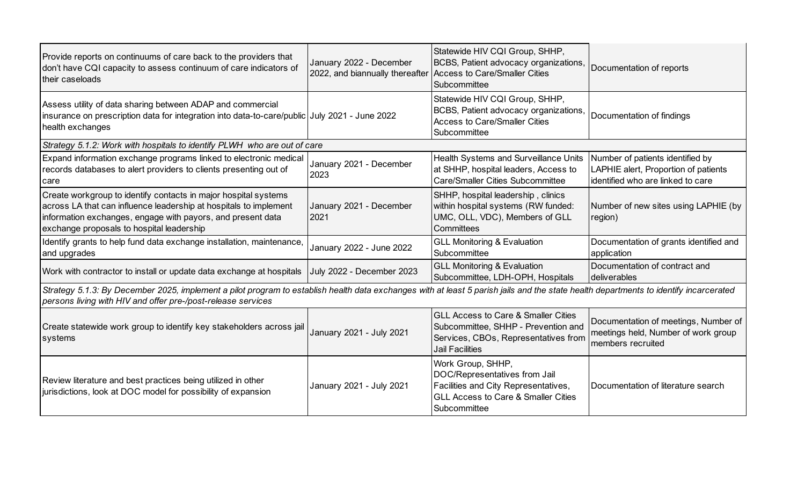| Provide reports on continuums of care back to the providers that<br>don't have CQI capacity to assess continuum of care indicators of<br>their caseloads                                                                                              | January 2022 - December<br>2022, and biannually thereafter Access to Care/Smaller Cities | Statewide HIV CQI Group, SHHP,<br>BCBS, Patient advocacy organizations,<br>Subcommittee                                                                      | Documentation of reports                                                                                      |
|-------------------------------------------------------------------------------------------------------------------------------------------------------------------------------------------------------------------------------------------------------|------------------------------------------------------------------------------------------|--------------------------------------------------------------------------------------------------------------------------------------------------------------|---------------------------------------------------------------------------------------------------------------|
| Assess utility of data sharing between ADAP and commercial<br>Insurance on prescription data for integration into data-to-care/public July 2021 - June 2022<br>health exchanges                                                                       |                                                                                          | Statewide HIV CQI Group, SHHP,<br>BCBS, Patient advocacy organizations,<br><b>Access to Care/Smaller Cities</b><br>Subcommittee                              | Documentation of findings                                                                                     |
| Strategy 5.1.2: Work with hospitals to identify PLWH who are out of care                                                                                                                                                                              |                                                                                          |                                                                                                                                                              |                                                                                                               |
| Expand information exchange programs linked to electronic medical<br>records databases to alert providers to clients presenting out of<br>care                                                                                                        | January 2021 - December<br>2023                                                          | Health Systems and Surveillance Units<br>at SHHP, hospital leaders, Access to<br><b>Care/Smaller Cities Subcommittee</b>                                     | Number of patients identified by<br>LAPHIE alert, Proportion of patients<br>identified who are linked to care |
| Create workgroup to identify contacts in major hospital systems<br>across LA that can influence leadership at hospitals to implement<br>information exchanges, engage with payors, and present data<br>exchange proposals to hospital leadership      | January 2021 - December<br>2021                                                          | SHHP, hospital leadership, clinics<br>within hospital systems (RW funded:<br>UMC, OLL, VDC), Members of GLL<br>Committees                                    | Number of new sites using LAPHIE (by<br>region)                                                               |
| Identify grants to help fund data exchange installation, maintenance,<br>and upgrades                                                                                                                                                                 | January 2022 - June 2022                                                                 | <b>GLL Monitoring &amp; Evaluation</b><br>Subcommittee                                                                                                       | Documentation of grants identified and<br>application                                                         |
| Work with contractor to install or update data exchange at hospitals                                                                                                                                                                                  | July 2022 - December 2023                                                                | <b>GLL Monitoring &amp; Evaluation</b><br>Subcommittee, LDH-OPH, Hospitals                                                                                   | Documentation of contract and<br>deliverables                                                                 |
| Strategy 5.1.3: By December 2025, implement a pilot program to establish health data exchanges with at least 5 parish jails and the state health departments to identify incarcerated<br>persons living with HIV and offer pre-/post-release services |                                                                                          |                                                                                                                                                              |                                                                                                               |
| Create statewide work group to identify key stakeholders across jail<br>systems                                                                                                                                                                       | January 2021 - July 2021                                                                 | <b>GLL Access to Care &amp; Smaller Cities</b><br>Subcommittee, SHHP - Prevention and<br>Services, CBOs, Representatives from<br><b>Jail Facilities</b>      | Documentation of meetings, Number of<br>meetings held, Number of work group<br>members recruited              |
| Review literature and best practices being utilized in other<br>jurisdictions, look at DOC model for possibility of expansion                                                                                                                         | January 2021 - July 2021                                                                 | Work Group, SHHP,<br>DOC/Representatives from Jail<br>Facilities and City Representatives,<br><b>GLL Access to Care &amp; Smaller Cities</b><br>Subcommittee | Documentation of literature search                                                                            |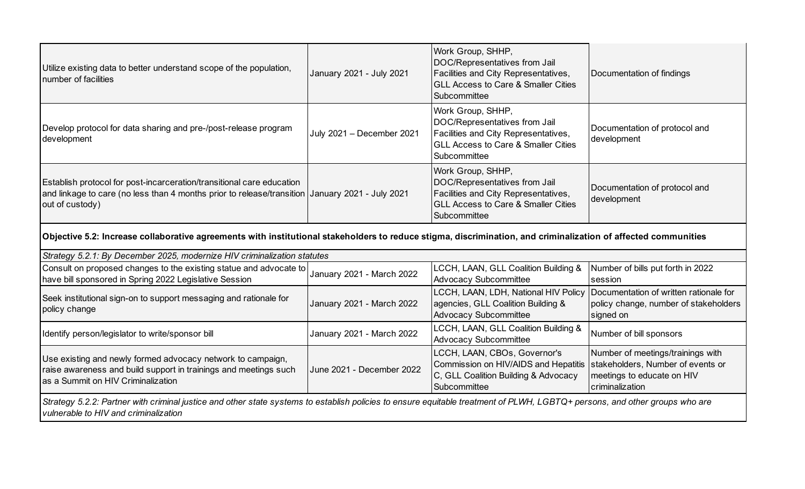| Utilize existing data to better understand scope of the population,<br>number of facilities                                                                                                 | January 2021 - July 2021  | Work Group, SHHP,<br>DOC/Representatives from Jail<br><b>Facilities and City Representatives,</b><br><b>GLL Access to Care &amp; Smaller Cities</b><br>Subcommittee | Documentation of findings                    |
|---------------------------------------------------------------------------------------------------------------------------------------------------------------------------------------------|---------------------------|---------------------------------------------------------------------------------------------------------------------------------------------------------------------|----------------------------------------------|
| Develop protocol for data sharing and pre-/post-release program<br>development                                                                                                              | July 2021 - December 2021 | Work Group, SHHP,<br>DOC/Representatives from Jail<br>Facilities and City Representatives,<br><b>GLL Access to Care &amp; Smaller Cities</b><br>Subcommittee        | Documentation of protocol and<br>development |
| Establish protocol for post-incarceration/transitional care education<br>and linkage to care (no less than 4 months prior to release/transition January 2021 - July 2021<br>out of custody) |                           | Work Group, SHHP,<br>DOC/Representatives from Jail<br>Facilities and City Representatives,<br><b>GLL Access to Care &amp; Smaller Cities</b><br>Subcommittee        | Documentation of protocol and<br>development |
| Objective 5.2: Increase collaborative agreements with institutional stakeholders to reduce stigma, discrimination, and criminalization of affected communities                              |                           |                                                                                                                                                                     |                                              |

| Strategy 5.2.1: By December 2025, modernize HIV criminalization statutes                                                                                                    |                           |                                                                                                                                                                |                                                                                    |
|-----------------------------------------------------------------------------------------------------------------------------------------------------------------------------|---------------------------|----------------------------------------------------------------------------------------------------------------------------------------------------------------|------------------------------------------------------------------------------------|
| Consult on proposed changes to the existing statue and advocate to January 2021 - March 2022<br>have bill sponsored in Spring 2022 Legislative Session                      |                           | LCCH, LAAN, GLL Coalition Building &<br>Advocacy Subcommittee                                                                                                  | Number of bills put forth in 2022<br>session                                       |
| Seek institutional sign-on to support messaging and rationale for<br>policy change                                                                                          | January 2021 - March 2022 | LCCH, LAAN, LDH, National HIV Policy Documentation of written rationale for<br>agencies, GLL Coalition Building &<br>Advocacy Subcommittee                     | policy change, number of stakeholders<br>signed on                                 |
| Identify person/legislator to write/sponsor bill                                                                                                                            | January 2021 - March 2022 | LCCH, LAAN, GLL Coalition Building &<br>Advocacy Subcommittee                                                                                                  | Number of bill sponsors                                                            |
| Use existing and newly formed advocacy network to campaign,<br>raise awareness and build support in trainings and meetings such<br>as a Summit on HIV Criminalization       | June 2021 - December 2022 | LCCH, LAAN, CBOs, Governor's<br>Commission on HIV/AIDS and Hepatitis stakeholders, Number of events or<br>C, GLL Coalition Building & Advocacy<br>Subcommittee | Number of meetings/trainings with<br>meetings to educate on HIV<br>criminalization |
| Strategy 5.2.2: Partner with criminal justice and other state systems to establish policies to ensure equitable treatment of PLWH, LGBTQ+ persons, and other groups who are |                           |                                                                                                                                                                |                                                                                    |

*vulnerable to HIV and criminalization*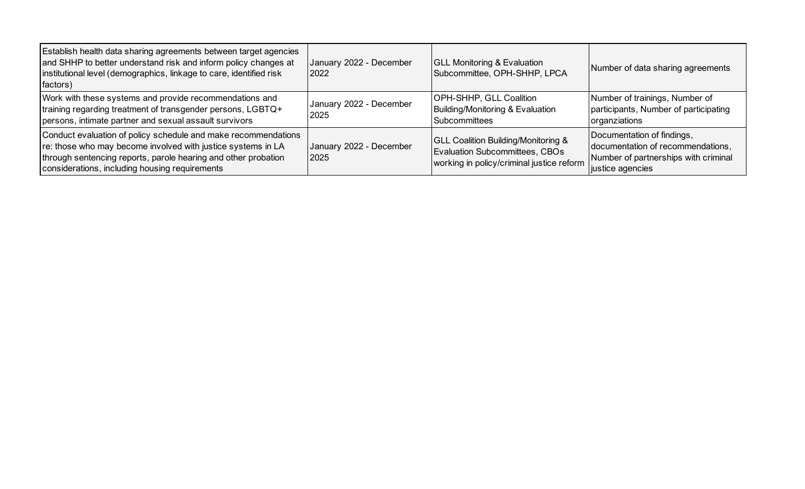| Establish health data sharing agreements between target agencies<br>and SHHP to better understand risk and inform policy changes at<br>institutional level (demographics, linkage to care, identified risk<br>factors)                             | January 2022 - December<br>2022 | <b>GLL Monitoring &amp; Evaluation</b><br>Subcommittee, OPH-SHHP, LPCA                                                        | Number of data sharing agreements                                                                                           |
|----------------------------------------------------------------------------------------------------------------------------------------------------------------------------------------------------------------------------------------------------|---------------------------------|-------------------------------------------------------------------------------------------------------------------------------|-----------------------------------------------------------------------------------------------------------------------------|
| Work with these systems and provide recommendations and<br>training regarding treatment of transgender persons, LGBTQ+<br>persons, intimate partner and sexual assault survivors                                                                   | January 2022 - December<br>2025 | OPH-SHHP, GLL Coalition<br>Building/Monitoring & Evaluation<br>Subcommittees                                                  | Number of trainings, Number of<br>participants, Number of participating<br>organziations                                    |
| Conduct evaluation of policy schedule and make recommendations<br>re: those who may become involved with justice systems in LA<br>through sentencing reports, parole hearing and other probation<br>considerations, including housing requirements | January 2022 - December<br>2025 | <b>GLL Coalition Building/Monitoring &amp;</b><br>Evaluation Subcommittees, CBOs<br>working in policy/criminal justice reform | Documentation of findings,<br>documentation of recommendations,<br>Number of partnerships with criminal<br>justice agencies |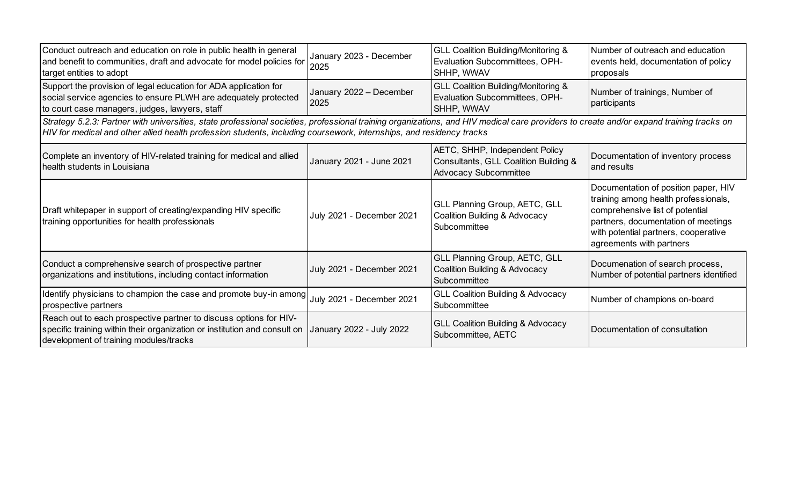| Conduct outreach and education on role in public health in general<br>and benefit to communities, draft and advocate for model policies for<br>target entities to adopt                                                                                                                                         | January 2023 - December<br>2025 | <b>GLL Coalition Building/Monitoring &amp;</b><br><b>Evaluation Subcommittees, OPH-</b><br>SHHP, WWAV   | Number of outreach and education<br>events held, documentation of policy<br>proposals                                                                                                                                      |
|-----------------------------------------------------------------------------------------------------------------------------------------------------------------------------------------------------------------------------------------------------------------------------------------------------------------|---------------------------------|---------------------------------------------------------------------------------------------------------|----------------------------------------------------------------------------------------------------------------------------------------------------------------------------------------------------------------------------|
| Support the provision of legal education for ADA application for<br>social service agencies to ensure PLWH are adequately protected<br>to court case managers, judges, lawyers, staff                                                                                                                           | January 2022 - December<br>2025 | <b>GLL Coalition Building/Monitoring &amp;</b><br>Evaluation Subcommittees, OPH-<br>SHHP, WWAV          | Number of trainings, Number of<br>participants                                                                                                                                                                             |
| Strategy 5.2.3: Partner with universities, state professional societies, professional training organizations, and HIV medical care providers to create and/or expand training tracks on<br>HIV for medical and other allied health profession students, including coursework, internships, and residency tracks |                                 |                                                                                                         |                                                                                                                                                                                                                            |
| Complete an inventory of HIV-related training for medical and allied<br>health students in Louisiana                                                                                                                                                                                                            | January 2021 - June 2021        | AETC, SHHP, Independent Policy<br>Consultants, GLL Coalition Building &<br><b>Advocacy Subcommittee</b> | Documentation of inventory process<br>and results                                                                                                                                                                          |
| Draft whitepaper in support of creating/expanding HIV specific<br>training opportunities for health professionals                                                                                                                                                                                               | July 2021 - December 2021       | <b>GLL Planning Group, AETC, GLL</b><br><b>Coalition Building &amp; Advocacy</b><br>Subcommittee        | Documentation of position paper, HIV<br>training among health professionals,<br>comprehensive list of potential<br>partners, documentation of meetings<br>with potential partners, cooperative<br>agreements with partners |
| Conduct a comprehensive search of prospective partner<br>organizations and institutions, including contact information                                                                                                                                                                                          | July 2021 - December 2021       | <b>GLL Planning Group, AETC, GLL</b><br>Coalition Building & Advocacy<br>Subcommittee                   | Documenation of search process,<br>Number of potential partners identified                                                                                                                                                 |
| Identify physicians to champion the case and promote buy-in among<br>prospective partners                                                                                                                                                                                                                       | July 2021 - December 2021       | <b>GLL Coalition Building &amp; Advocacy</b><br>Subcommittee                                            | Number of champions on-board                                                                                                                                                                                               |
| Reach out to each prospective partner to discuss options for HIV-<br>specific training within their organization or institution and consult on<br>development of training modules/tracks                                                                                                                        | January 2022 - July 2022        | <b>GLL Coalition Building &amp; Advocacy</b><br>Subcommittee, AETC                                      | Documentation of consultation                                                                                                                                                                                              |